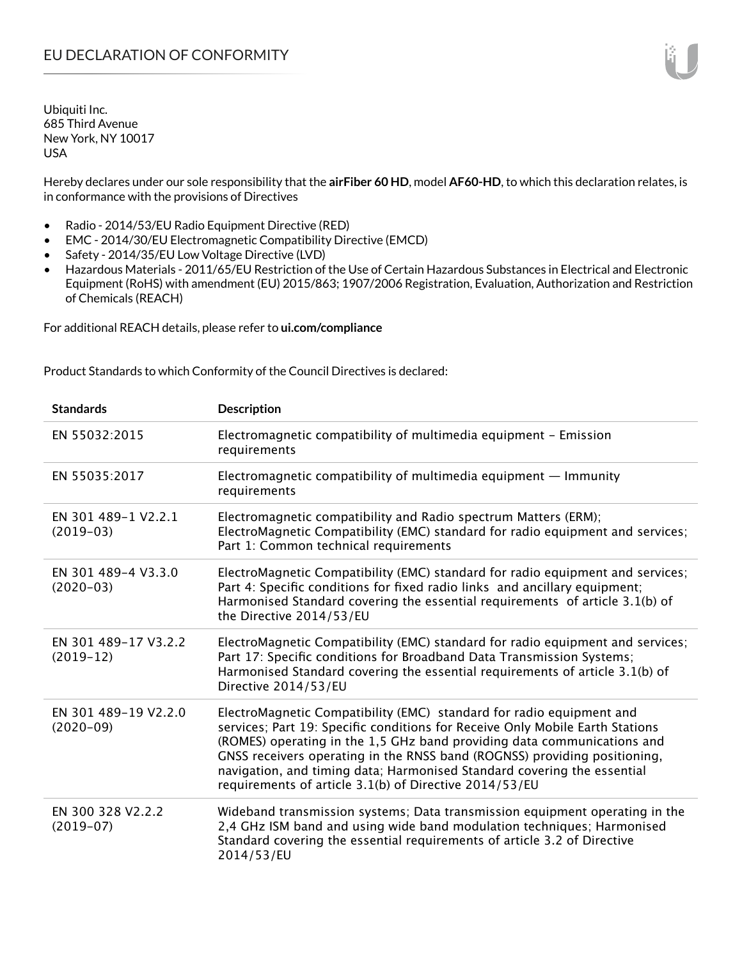Hereby declares under our sole responsibility that the **airFiber 60 HD**, model **AF60-HD**, to which this declaration relates, is in conformance with the provisions of Directives

- Radio 2014/53/EU Radio Equipment Directive (RED)
- EMC 2014/30/EU Electromagnetic Compatibility Directive (EMCD)
- Safety 2014/35/EU Low Voltage Directive (LVD)
- Hazardous Materials 2011/65/EU Restriction of the Use of Certain Hazardous Substances in Electrical and Electronic Equipment (RoHS) with amendment (EU) 2015/863; 1907/2006 Registration, Evaluation, Authorization and Restriction of Chemicals (REACH)

For additional REACH details, please refer to **ui.com/compliance**

Product Standards to which Conformity of the Council Directives is declared:

| <b>Standards</b>                    | <b>Description</b>                                                                                                                                                                                                                                                                                                                                                                                                                                 |
|-------------------------------------|----------------------------------------------------------------------------------------------------------------------------------------------------------------------------------------------------------------------------------------------------------------------------------------------------------------------------------------------------------------------------------------------------------------------------------------------------|
| EN 55032:2015                       | Electromagnetic compatibility of multimedia equipment - Emission<br>requirements                                                                                                                                                                                                                                                                                                                                                                   |
| EN 55035:2017                       | Electromagnetic compatibility of multimedia equipment - Immunity<br>requirements                                                                                                                                                                                                                                                                                                                                                                   |
| EN 301 489-1 V2.2.1<br>$(2019-03)$  | Electromagnetic compatibility and Radio spectrum Matters (ERM);<br>ElectroMagnetic Compatibility (EMC) standard for radio equipment and services;<br>Part 1: Common technical requirements                                                                                                                                                                                                                                                         |
| EN 301 489-4 V3.3.0<br>$(2020-03)$  | ElectroMagnetic Compatibility (EMC) standard for radio equipment and services;<br>Part 4: Specific conditions for fixed radio links and ancillary equipment;<br>Harmonised Standard covering the essential requirements of article 3.1(b) of<br>the Directive 2014/53/EU                                                                                                                                                                           |
| EN 301 489-17 V3.2.2<br>$(2019-12)$ | ElectroMagnetic Compatibility (EMC) standard for radio equipment and services;<br>Part 17: Specific conditions for Broadband Data Transmission Systems;<br>Harmonised Standard covering the essential requirements of article 3.1(b) of<br>Directive 2014/53/EU                                                                                                                                                                                    |
| EN 301 489-19 V2.2.0<br>$(2020-09)$ | ElectroMagnetic Compatibility (EMC) standard for radio equipment and<br>services; Part 19: Specific conditions for Receive Only Mobile Earth Stations<br>(ROMES) operating in the 1,5 GHz band providing data communications and<br>GNSS receivers operating in the RNSS band (ROGNSS) providing positioning,<br>navigation, and timing data; Harmonised Standard covering the essential<br>requirements of article 3.1(b) of Directive 2014/53/EU |
| EN 300 328 V2.2.2<br>$(2019-07)$    | Wideband transmission systems; Data transmission equipment operating in the<br>2,4 GHz ISM band and using wide band modulation techniques; Harmonised<br>Standard covering the essential requirements of article 3.2 of Directive<br>2014/53/EU                                                                                                                                                                                                    |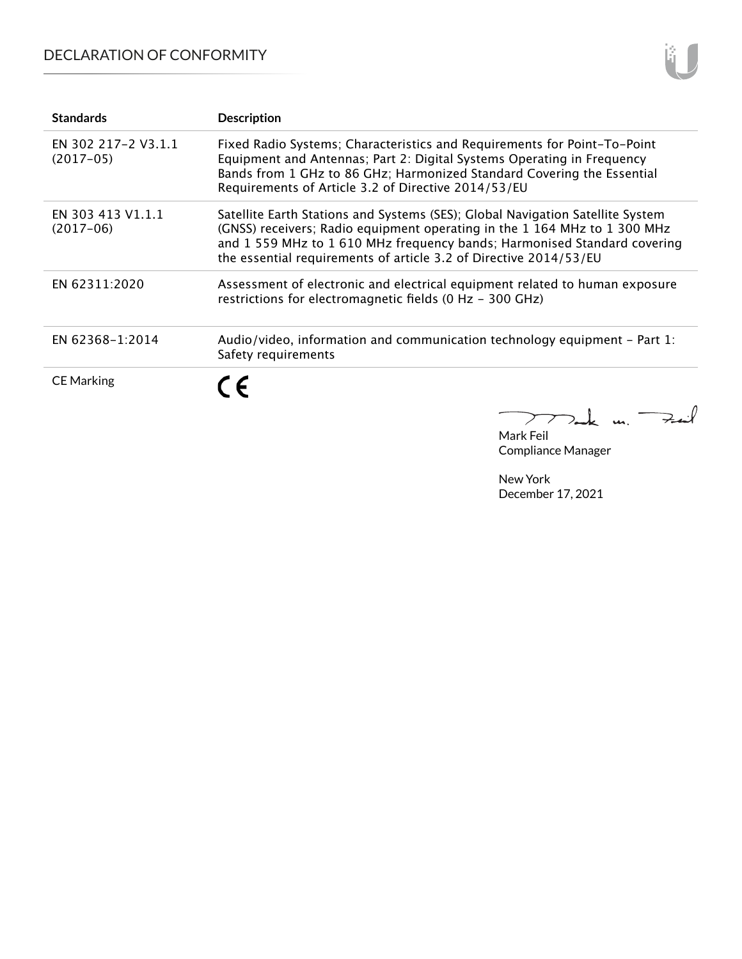## DECLARATION OF CONFORMITY

| <b>Standards</b>                   | <b>Description</b>                                                                                                                                                                                                                                                                                         |
|------------------------------------|------------------------------------------------------------------------------------------------------------------------------------------------------------------------------------------------------------------------------------------------------------------------------------------------------------|
| EN 302 217-2 V3.1.1<br>$(2017-05)$ | Fixed Radio Systems; Characteristics and Requirements for Point-To-Point<br>Equipment and Antennas; Part 2: Digital Systems Operating in Frequency<br>Bands from 1 GHz to 86 GHz; Harmonized Standard Covering the Essential<br>Requirements of Article 3.2 of Directive 2014/53/EU                        |
| EN 303 413 V1.1.1<br>$(2017-06)$   | Satellite Earth Stations and Systems (SES); Global Navigation Satellite System<br>(GNSS) receivers; Radio equipment operating in the 1 164 MHz to 1 300 MHz<br>and 1559 MHz to 1610 MHz frequency bands; Harmonised Standard covering<br>the essential requirements of article 3.2 of Directive 2014/53/EU |
| EN 62311:2020                      | Assessment of electronic and electrical equipment related to human exposure<br>restrictions for electromagnetic fields (0 Hz - 300 GHz)                                                                                                                                                                    |
| EN 62368-1:2014                    | Audio/video, information and communication technology equipment – Part 1:<br>Safety requirements                                                                                                                                                                                                           |
| <b>CE Marking</b>                  | $\epsilon$                                                                                                                                                                                                                                                                                                 |

Tak m. Fait Mark Feil

Compliance Manager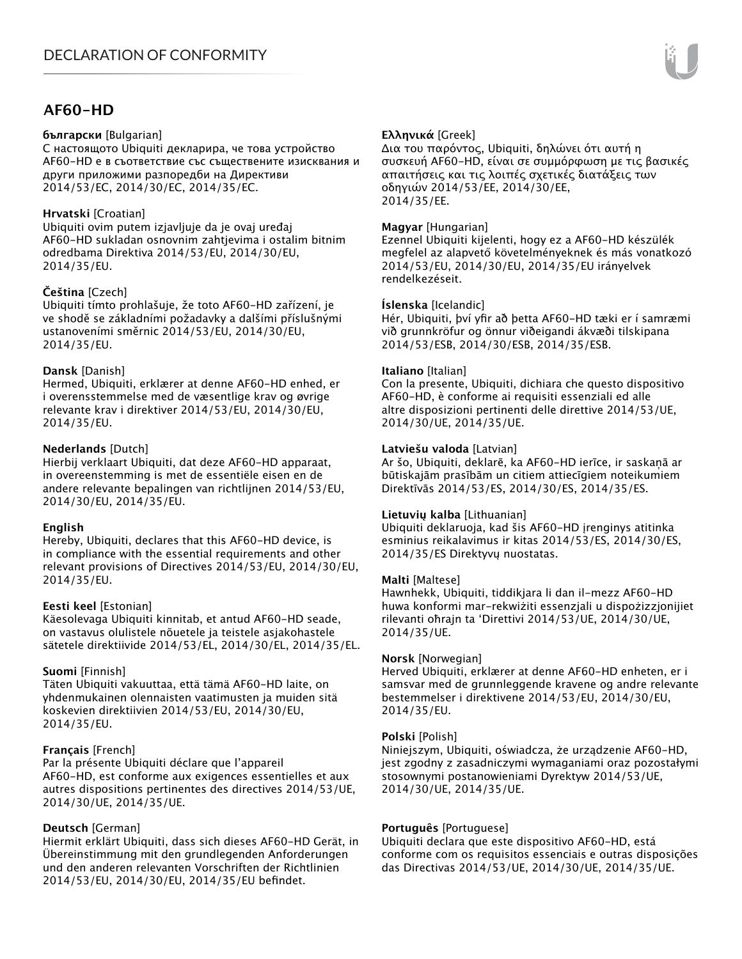### **AF60-HD**

#### **български** [Bulgarian]

С настоящото Ubiquiti декларира, че това устройство AF60-HD е в съответствие със съществените изисквания и други приложими разпоредби на Директиви 2014/53/EC, 2014/30/ЕС, 2014/35/ЕС.

#### **Hrvatski** [Croatian]

Ubiquiti ovim putem izjavljuje da je ovaj uređaj AF60-HD sukladan osnovnim zahtjevima i ostalim bitnim odredbama Direktiva 2014/53/EU, 2014/30/EU, 2014/35/EU.

#### **Čeština** [Czech]

Ubiquiti tímto prohlašuje, že toto AF60-HD zařízení, je ve shodě se základními požadavky a dalšími příslušnými ustanoveními směrnic 2014/53/EU, 2014/30/EU, 2014/35/EU.

#### **Dansk** [Danish]

Hermed, Ubiquiti, erklærer at denne AF60-HD enhed, er i overensstemmelse med de væsentlige krav og øvrige relevante krav i direktiver 2014/53/EU, 2014/30/EU, 2014/35/EU.

#### **Nederlands** [Dutch]

Hierbij verklaart Ubiquiti, dat deze AF60-HD apparaat, in overeenstemming is met de essentiële eisen en de andere relevante bepalingen van richtlijnen 2014/53/EU, 2014/30/EU, 2014/35/EU.

#### **English**

Hereby, Ubiquiti, declares that this AF60-HD device, is in compliance with the essential requirements and other relevant provisions of Directives 2014/53/EU, 2014/30/EU, 2014/35/EU.

#### **Eesti keel** [Estonian]

Käesolevaga Ubiquiti kinnitab, et antud AF60-HD seade, on vastavus olulistele nõuetele ja teistele asjakohastele sätetele direktiivide 2014/53/EL, 2014/30/EL, 2014/35/EL.

#### **Suomi** [Finnish]

Täten Ubiquiti vakuuttaa, että tämä AF60-HD laite, on yhdenmukainen olennaisten vaatimusten ja muiden sitä koskevien direktiivien 2014/53/EU, 2014/30/EU, 2014/35/EU.

#### **Français** [French]

Par la présente Ubiquiti déclare que l'appareil AF60-HD, est conforme aux exigences essentielles et aux autres dispositions pertinentes des directives 2014/53/UE, 2014/30/UE, 2014/35/UE.

#### **Deutsch** [German]

Hiermit erklärt Ubiquiti, dass sich dieses AF60-HD Gerät, in Übereinstimmung mit den grundlegenden Anforderungen und den anderen relevanten Vorschriften der Richtlinien 2014/53/EU, 2014/30/EU, 2014/35/EU befindet.

#### **Ελληνικά** [Greek]

Δια του παρόντος, Ubiquiti, δηλώνει ότι αυτή η συσκευή AF60-HD, είναι σε συμμόρφωση με τις βασικές απαιτήσεις και τις λοιπές σχετικές διατάξεις των οδηγιών 2014/53/EE, 2014/30/EE, 2014/35/EE.

#### **Magyar** [Hungarian]

Ezennel Ubiquiti kijelenti, hogy ez a AF60-HD készülék megfelel az alapvető követelményeknek és más vonatkozó 2014/53/EU, 2014/30/EU, 2014/35/EU irányelvek rendelkezéseit.

#### **Íslenska** [Icelandic]

Hér, Ubiquiti, því yfir að þetta AF60-HD tæki er í samræmi við grunnkröfur og önnur viðeigandi ákvæði tilskipana 2014/53/ESB, 2014/30/ESB, 2014/35/ESB.

#### **Italiano** [Italian]

Con la presente, Ubiquiti, dichiara che questo dispositivo AF60-HD, è conforme ai requisiti essenziali ed alle altre disposizioni pertinenti delle direttive 2014/53/UE, 2014/30/UE, 2014/35/UE.

#### **Latviešu valoda** [Latvian]

Ar šo, Ubiquiti, deklarē, ka AF60-HD ierīce, ir saskaņā ar būtiskajām prasībām un citiem attiecīgiem noteikumiem Direktīvās 2014/53/ES, 2014/30/ES, 2014/35/ES.

#### **Lietuvių kalba** [Lithuanian]

Ubiquiti deklaruoja, kad šis AF60-HD įrenginys atitinka esminius reikalavimus ir kitas 2014/53/ES, 2014/30/ES, 2014/35/ES Direktyvų nuostatas.

#### **Malti** [Maltese]

Hawnhekk, Ubiquiti, tiddikjara li dan il-mezz AF60-HD huwa konformi mar-rekwiżiti essenzjali u dispożizzjonijiet rilevanti oħrajn ta 'Direttivi 2014/53/UE, 2014/30/UE, 2014/35/UE.

#### **Norsk** [Norwegian]

Herved Ubiquiti, erklærer at denne AF60-HD enheten, er i samsvar med de grunnleggende kravene og andre relevante bestemmelser i direktivene 2014/53/EU, 2014/30/EU, 2014/35/EU.

#### **Polski** [Polish]

Niniejszym, Ubiquiti, oświadcza, że urządzenie AF60-HD, jest zgodny z zasadniczymi wymaganiami oraz pozostałymi stosownymi postanowieniami Dyrektyw 2014/53/UE, 2014/30/UE, 2014/35/UE.

#### **Português** [Portuguese]

Ubiquiti declara que este dispositivo AF60-HD, está conforme com os requisitos essenciais e outras disposições das Directivas 2014/53/UE, 2014/30/UE, 2014/35/UE.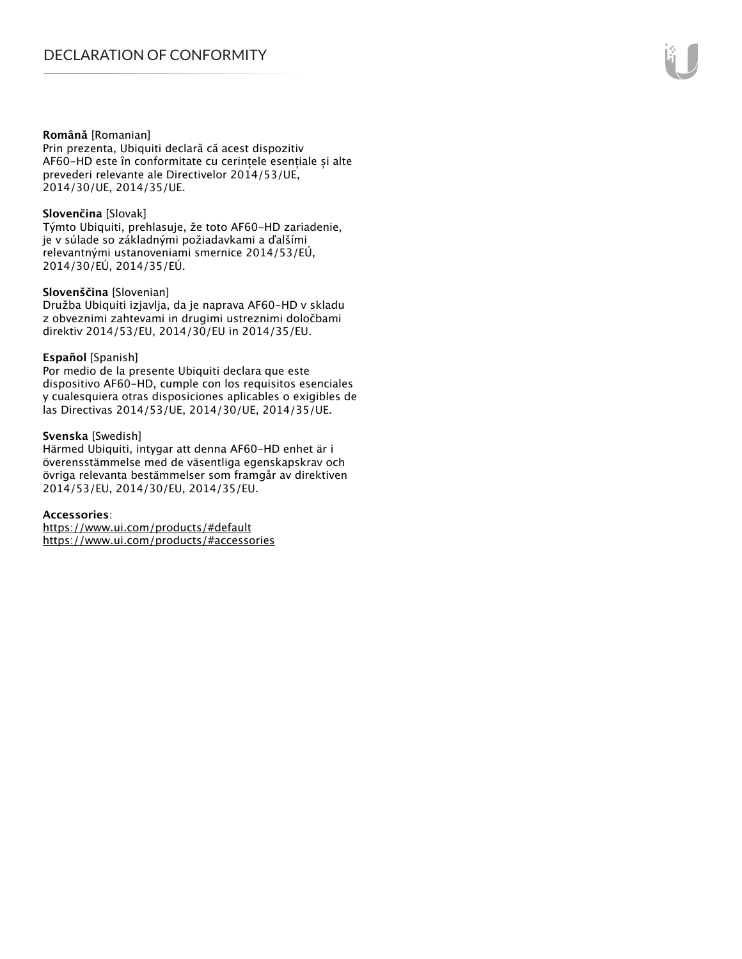#### **Română** [Romanian]

Prin prezenta, Ubiquiti declară că acest dispozitiv AF60-HD este în conformitate cu cerințele esențiale și alte prevederi relevante ale Directivelor 2014/53/UE, 2014/30/UE, 2014/35/UE.

#### **Slovenčina** [Slovak]

Týmto Ubiquiti, prehlasuje, že toto AF60-HD zariadenie, je v súlade so základnými požiadavkami a ďalšími relevantnými ustanoveniami smernice 2014/53/EÚ, 2014/30/EÚ, 2014/35/EÚ.

#### **Slovenščina** [Slovenian]

Družba Ubiquiti izjavlja, da je naprava AF60-HD v skladu z obveznimi zahtevami in drugimi ustreznimi določbami direktiv 2014/53/EU, 2014/30/EU in 2014/35/EU.

#### **Español** [Spanish]

Por medio de la presente Ubiquiti declara que este dispositivo AF60-HD, cumple con los requisitos esenciales y cualesquiera otras disposiciones aplicables o exigibles de las Directivas 2014/53/UE, 2014/30/UE, 2014/35/UE.

#### **Svenska** [Swedish]

Härmed Ubiquiti, intygar att denna AF60-HD enhet är i överensstämmelse med de väsentliga egenskapskrav och övriga relevanta bestämmelser som framgår av direktiven 2014/53/EU, 2014/30/EU, 2014/35/EU.

#### **Accessories**:

https://www.ui.com/products/#default https://www.ui.com/products/#accessories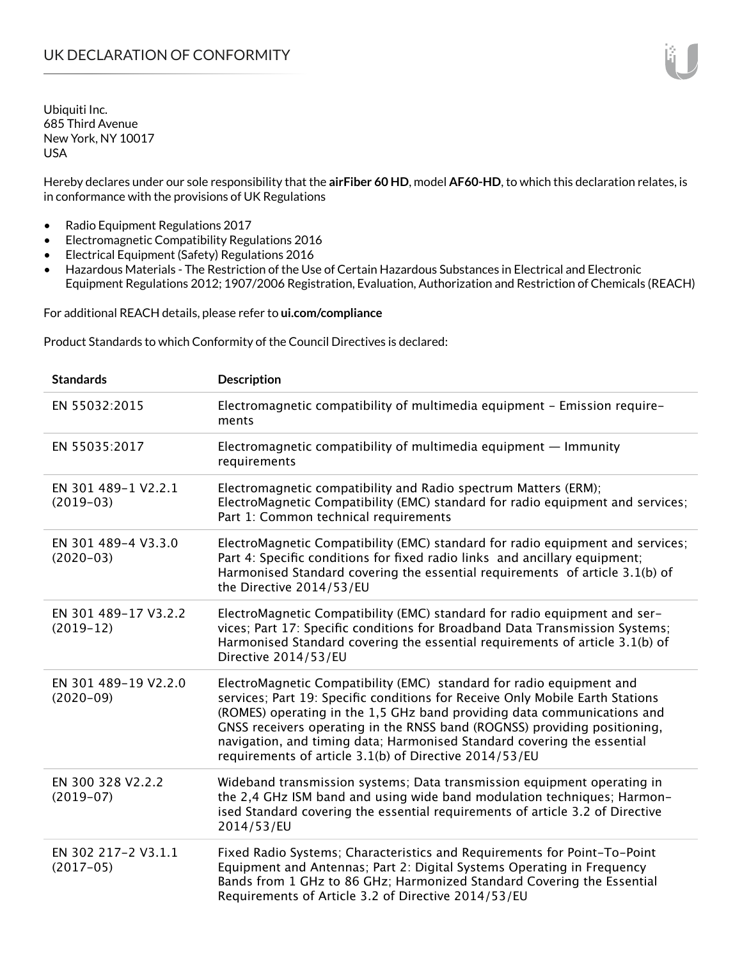Hereby declares under our sole responsibility that the **airFiber 60 HD**, model **AF60-HD**, to which this declaration relates, is in conformance with the provisions of UK Regulations

- Radio Equipment Regulations 2017
- Electromagnetic Compatibility Regulations 2016
- Electrical Equipment (Safety) Regulations 2016
- Hazardous Materials The Restriction of the Use of Certain Hazardous Substances in Electrical and Electronic Equipment Regulations 2012; 1907/2006 Registration, Evaluation, Authorization and Restriction of Chemicals (REACH)

For additional REACH details, please refer to **ui.com/compliance**

Product Standards to which Conformity of the Council Directives is declared:

| <b>Standards</b>                      | <b>Description</b>                                                                                                                                                                                                                                                                                                                                                                                                                                 |
|---------------------------------------|----------------------------------------------------------------------------------------------------------------------------------------------------------------------------------------------------------------------------------------------------------------------------------------------------------------------------------------------------------------------------------------------------------------------------------------------------|
| EN 55032:2015                         | Electromagnetic compatibility of multimedia equipment - Emission require-<br>ments                                                                                                                                                                                                                                                                                                                                                                 |
| EN 55035:2017                         | Electromagnetic compatibility of multimedia equipment - Immunity<br>requirements                                                                                                                                                                                                                                                                                                                                                                   |
| EN 301 489-1 V2.2.1<br>$(2019-03)$    | Electromagnetic compatibility and Radio spectrum Matters (ERM);<br>ElectroMagnetic Compatibility (EMC) standard for radio equipment and services;<br>Part 1: Common technical requirements                                                                                                                                                                                                                                                         |
| EN 301 489-4 V3.3.0<br>$(2020-03)$    | ElectroMagnetic Compatibility (EMC) standard for radio equipment and services;<br>Part 4: Specific conditions for fixed radio links and ancillary equipment;<br>Harmonised Standard covering the essential requirements of article 3.1(b) of<br>the Directive 2014/53/EU                                                                                                                                                                           |
| EN 301 489-17 V3.2.2<br>$(2019-12)$   | ElectroMagnetic Compatibility (EMC) standard for radio equipment and ser-<br>vices; Part 17: Specific conditions for Broadband Data Transmission Systems;<br>Harmonised Standard covering the essential requirements of article 3.1(b) of<br>Directive 2014/53/EU                                                                                                                                                                                  |
| EN 301 489-19 V2.2.0<br>$(2020 - 09)$ | ElectroMagnetic Compatibility (EMC) standard for radio equipment and<br>services; Part 19: Specific conditions for Receive Only Mobile Earth Stations<br>(ROMES) operating in the 1,5 GHz band providing data communications and<br>GNSS receivers operating in the RNSS band (ROGNSS) providing positioning,<br>navigation, and timing data; Harmonised Standard covering the essential<br>requirements of article 3.1(b) of Directive 2014/53/EU |
| EN 300 328 V2.2.2<br>$(2019-07)$      | Wideband transmission systems; Data transmission equipment operating in<br>the 2,4 GHz ISM band and using wide band modulation techniques; Harmon-<br>ised Standard covering the essential requirements of article 3.2 of Directive<br>2014/53/EU                                                                                                                                                                                                  |
| EN 302 217-2 V3.1.1<br>$(2017-05)$    | Fixed Radio Systems; Characteristics and Requirements for Point-To-Point<br>Equipment and Antennas; Part 2: Digital Systems Operating in Frequency<br>Bands from 1 GHz to 86 GHz; Harmonized Standard Covering the Essential<br>Requirements of Article 3.2 of Directive 2014/53/EU                                                                                                                                                                |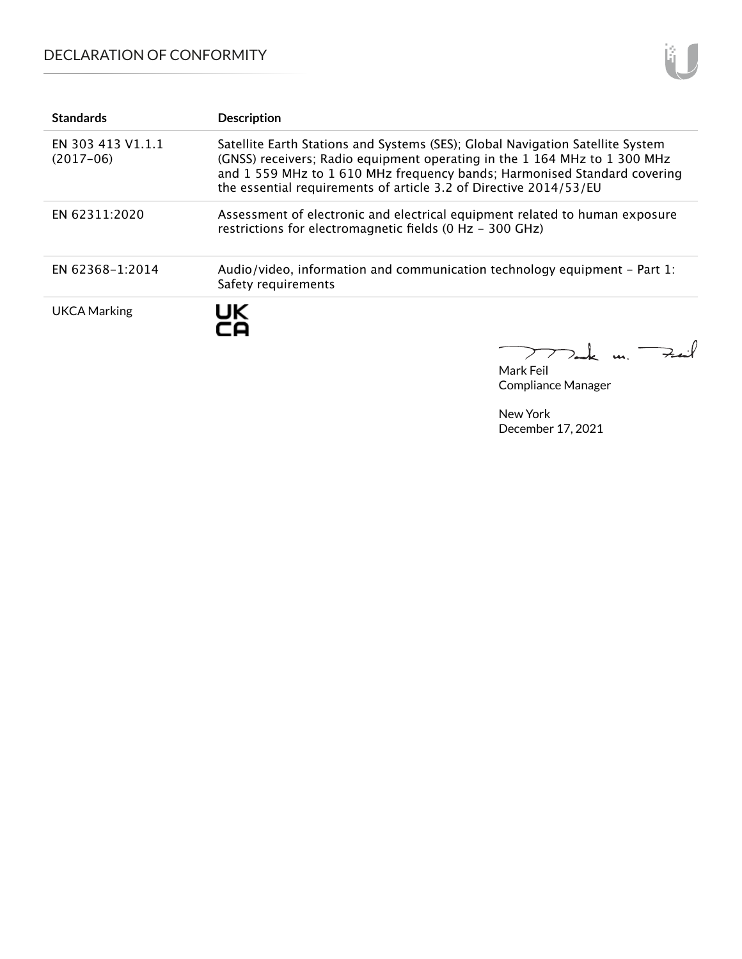## DECLARATION OF CONFORMITY



| <b>Standards</b>                 | <b>Description</b>                                                                                                                                                                                                                                                                                         |
|----------------------------------|------------------------------------------------------------------------------------------------------------------------------------------------------------------------------------------------------------------------------------------------------------------------------------------------------------|
| EN 303 413 V1.1.1<br>$(2017-06)$ | Satellite Earth Stations and Systems (SES); Global Navigation Satellite System<br>(GNSS) receivers; Radio equipment operating in the 1 164 MHz to 1 300 MHz<br>and 1559 MHz to 1610 MHz frequency bands; Harmonised Standard covering<br>the essential requirements of article 3.2 of Directive 2014/53/EU |
| EN 62311:2020                    | Assessment of electronic and electrical equipment related to human exposure<br>restrictions for electromagnetic fields (0 Hz - 300 GHz)                                                                                                                                                                    |
| EN 62368-1:2014                  | Audio/video, information and communication technology equipment – Part 1:<br>Safety requirements                                                                                                                                                                                                           |
| <b>UKCA Marking</b>              | UK                                                                                                                                                                                                                                                                                                         |

Mark Feil Compliance Manager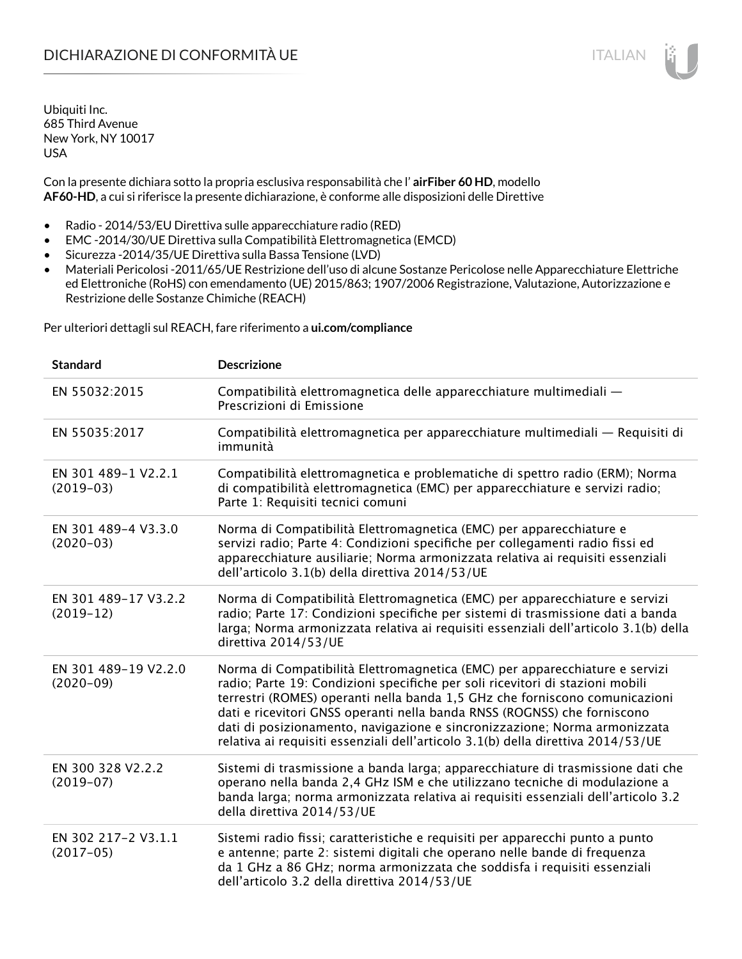Con la presente dichiara sotto la propria esclusiva responsabilità che l' **airFiber 60 HD**, modello **AF60-HD**, a cui si riferisce la presente dichiarazione, è conforme alle disposizioni delle Direttive

- Radio 2014/53/EU Direttiva sulle apparecchiature radio (RED)
- EMC -2014/30/UE Direttiva sulla Compatibilità Elettromagnetica (EMCD)
- Sicurezza -2014/35/UE Direttiva sulla Bassa Tensione (LVD)
- Materiali Pericolosi -2011/65/UE Restrizione dell'uso di alcune Sostanze Pericolose nelle Apparecchiature Elettriche ed Elettroniche (RoHS) con emendamento (UE) 2015/863; 1907/2006 Registrazione, Valutazione, Autorizzazione e Restrizione delle Sostanze Chimiche (REACH)

Per ulteriori dettagli sul REACH, fare riferimento a **ui.com/compliance**

| <b>Standard</b>                      | <b>Descrizione</b>                                                                                                                                                                                                                                                                                                                                                                                                                                                                       |
|--------------------------------------|------------------------------------------------------------------------------------------------------------------------------------------------------------------------------------------------------------------------------------------------------------------------------------------------------------------------------------------------------------------------------------------------------------------------------------------------------------------------------------------|
| EN 55032:2015                        | Compatibilità elettromagnetica delle apparecchiature multimediali -<br>Prescrizioni di Emissione                                                                                                                                                                                                                                                                                                                                                                                         |
| EN 55035:2017                        | Compatibilità elettromagnetica per apparecchiature multimediali — Requisiti di<br>immunità                                                                                                                                                                                                                                                                                                                                                                                               |
| EN 301 489-1 V2.2.1<br>$(2019-03)$   | Compatibilità elettromagnetica e problematiche di spettro radio (ERM); Norma<br>di compatibilità elettromagnetica (EMC) per apparecchiature e servizi radio;<br>Parte 1: Requisiti tecnici comuni                                                                                                                                                                                                                                                                                        |
| EN 301 489-4 V3.3.0<br>$(2020-03)$   | Norma di Compatibilità Elettromagnetica (EMC) per apparecchiature e<br>servizi radio; Parte 4: Condizioni specifiche per collegamenti radio fissi ed<br>apparecchiature ausiliarie; Norma armonizzata relativa ai requisiti essenziali<br>dell'articolo 3.1(b) della direttiva 2014/53/UE                                                                                                                                                                                                |
| EN 301 489-17 V3.2.2<br>$(2019-12)$  | Norma di Compatibilità Elettromagnetica (EMC) per apparecchiature e servizi<br>radio; Parte 17: Condizioni specifiche per sistemi di trasmissione dati a banda<br>larga; Norma armonizzata relativa ai requisiti essenziali dell'articolo 3.1(b) della<br>direttiva 2014/53/UE                                                                                                                                                                                                           |
| EN 301 489-19 V2.2.0<br>$(2020-09)$  | Norma di Compatibilità Elettromagnetica (EMC) per apparecchiature e servizi<br>radio; Parte 19: Condizioni specifiche per soli ricevitori di stazioni mobili<br>terrestri (ROMES) operanti nella banda 1,5 GHz che forniscono comunicazioni<br>dati e ricevitori GNSS operanti nella banda RNSS (ROGNSS) che forniscono<br>dati di posizionamento, navigazione e sincronizzazione; Norma armonizzata<br>relativa ai requisiti essenziali dell'articolo 3.1(b) della direttiva 2014/53/UE |
| EN 300 328 V2.2.2<br>$(2019-07)$     | Sistemi di trasmissione a banda larga; apparecchiature di trasmissione dati che<br>operano nella banda 2,4 GHz ISM e che utilizzano tecniche di modulazione a<br>banda larga; norma armonizzata relativa ai requisiti essenziali dell'articolo 3.2<br>della direttiva 2014/53/UE                                                                                                                                                                                                         |
| EN 302 217-2 V3.1.1<br>$(2017 - 05)$ | Sistemi radio fissi; caratteristiche e requisiti per apparecchi punto a punto<br>e antenne; parte 2: sistemi digitali che operano nelle bande di frequenza<br>da 1 GHz a 86 GHz; norma armonizzata che soddisfa i requisiti essenziali<br>dell'articolo 3.2 della direttiva 2014/53/UE                                                                                                                                                                                                   |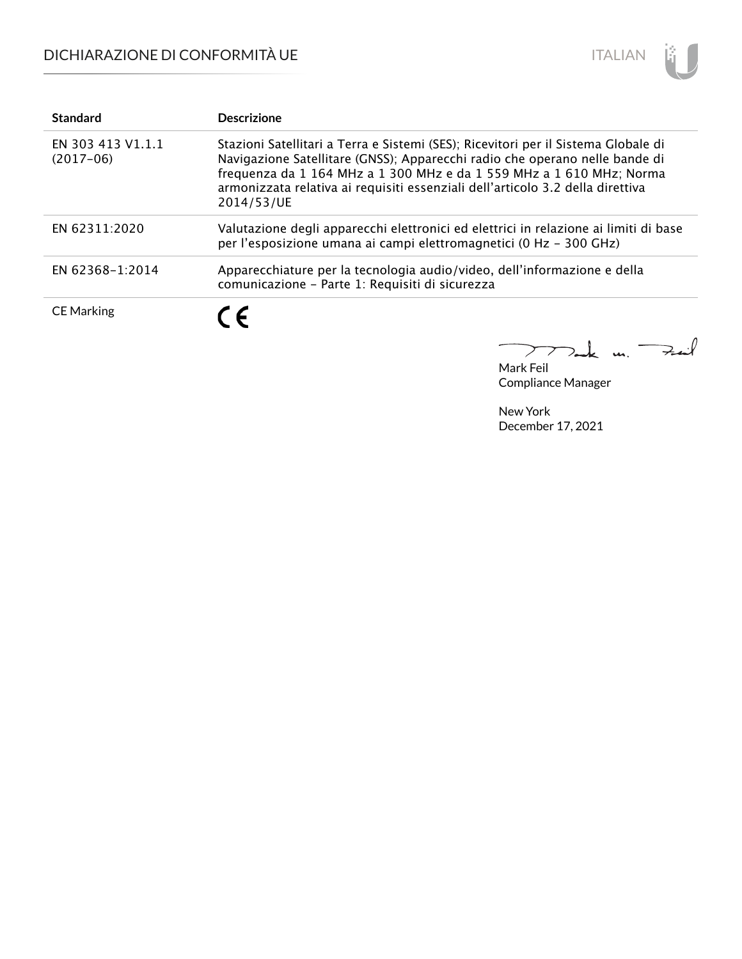

| <b>Standard</b>                  | <b>Descrizione</b>                                                                                                                                                                                                                                                                                                                        |
|----------------------------------|-------------------------------------------------------------------------------------------------------------------------------------------------------------------------------------------------------------------------------------------------------------------------------------------------------------------------------------------|
| EN 303 413 V1.1.1<br>$(2017-06)$ | Stazioni Satellitari a Terra e Sistemi (SES); Ricevitori per il Sistema Globale di<br>Navigazione Satellitare (GNSS); Apparecchi radio che operano nelle bande di<br>frequenza da 1 164 MHz a 1 300 MHz e da 1 559 MHz a 1 610 MHz; Norma<br>armonizzata relativa ai requisiti essenziali dell'articolo 3.2 della direttiva<br>2014/53/UE |
| EN 62311:2020                    | Valutazione degli apparecchi elettronici ed elettrici in relazione ai limiti di base<br>per l'esposizione umana ai campi elettromagnetici (0 Hz - 300 GHz)                                                                                                                                                                                |
| EN 62368-1:2014                  | Apparecchiature per la tecnologia audio/video, dell'informazione e della<br>comunicazione - Parte 1: Requisiti di sicurezza                                                                                                                                                                                                               |
| <b>CE Marking</b>                | C F                                                                                                                                                                                                                                                                                                                                       |

Mak m. Fail 

Mark Feil Compliance Manager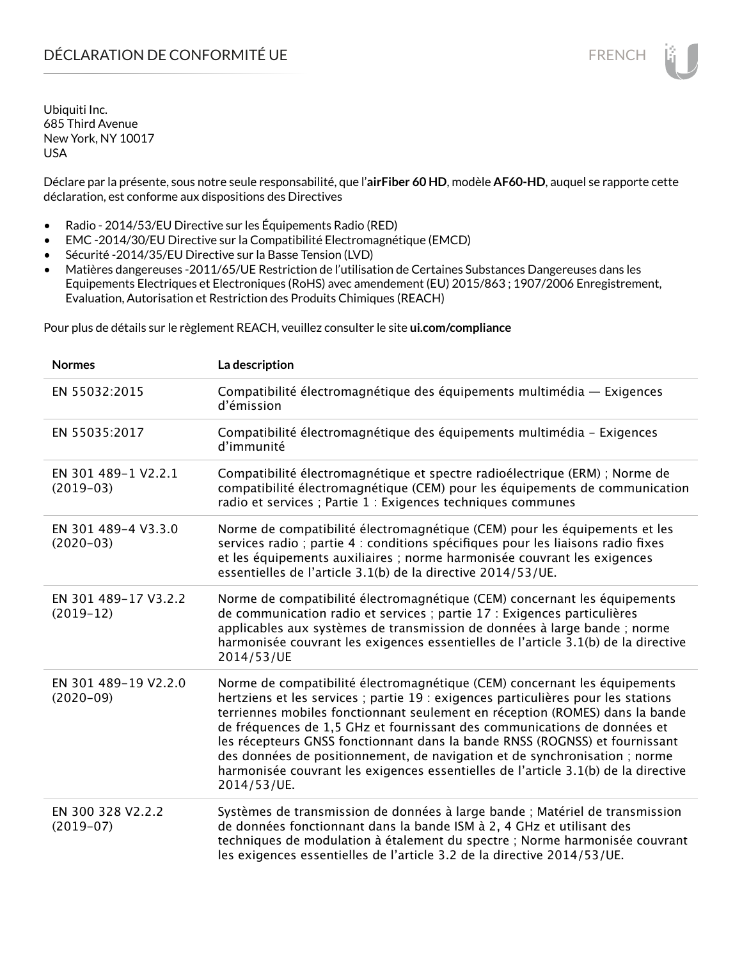Déclare par la présente, sous notre seule responsabilité, que l'**airFiber 60 HD**, modèle **AF60-HD**, auquel se rapporte cette déclaration, est conforme aux dispositions des Directives

- Radio 2014/53/EU Directive sur les Équipements Radio (RED)
- EMC -2014/30/EU Directive sur la Compatibilité Electromagnétique (EMCD)
- Sécurité -2014/35/EU Directive sur la Basse Tension (LVD)
- Matières dangereuses -2011/65/UE Restriction de l'utilisation de Certaines Substances Dangereuses dans les Equipements Electriques et Electroniques (RoHS) avec amendement (EU) 2015/863 ; 1907/2006 Enregistrement, Evaluation, Autorisation et Restriction des Produits Chimiques (REACH)

Pour plus de détails sur le règlement REACH, veuillez consulter le site **ui.com/compliance**

| <b>Normes</b>                       | La description                                                                                                                                                                                                                                                                                                                                                                                                                                                                                                                                                                               |
|-------------------------------------|----------------------------------------------------------------------------------------------------------------------------------------------------------------------------------------------------------------------------------------------------------------------------------------------------------------------------------------------------------------------------------------------------------------------------------------------------------------------------------------------------------------------------------------------------------------------------------------------|
| EN 55032:2015                       | Compatibilité électromagnétique des équipements multimédia — Exigences<br>d'émission                                                                                                                                                                                                                                                                                                                                                                                                                                                                                                         |
| EN 55035:2017                       | Compatibilité électromagnétique des équipements multimédia - Exigences<br>d'immunité                                                                                                                                                                                                                                                                                                                                                                                                                                                                                                         |
| EN 301 489-1 V2.2.1<br>$(2019-03)$  | Compatibilité électromagnétique et spectre radioélectrique (ERM) ; Norme de<br>compatibilité électromagnétique (CEM) pour les équipements de communication<br>radio et services ; Partie 1 : Exigences techniques communes                                                                                                                                                                                                                                                                                                                                                                   |
| EN 301 489-4 V3.3.0<br>$(2020-03)$  | Norme de compatibilité électromagnétique (CEM) pour les équipements et les<br>services radio ; partie 4 : conditions spécifiques pour les liaisons radio fixes<br>et les équipements auxiliaires ; norme harmonisée couvrant les exigences<br>essentielles de l'article 3.1(b) de la directive 2014/53/UE.                                                                                                                                                                                                                                                                                   |
| EN 301 489-17 V3.2.2<br>$(2019-12)$ | Norme de compatibilité électromagnétique (CEM) concernant les équipements<br>de communication radio et services ; partie 17 : Exigences particulières<br>applicables aux systèmes de transmission de données à large bande ; norme<br>harmonisée couvrant les exigences essentielles de l'article 3.1(b) de la directive<br>2014/53/UE                                                                                                                                                                                                                                                       |
| EN 301 489-19 V2.2.0<br>$(2020-09)$ | Norme de compatibilité électromagnétique (CEM) concernant les équipements<br>hertziens et les services ; partie 19 : exigences particulières pour les stations<br>terriennes mobiles fonctionnant seulement en réception (ROMES) dans la bande<br>de fréquences de 1,5 GHz et fournissant des communications de données et<br>les récepteurs GNSS fonctionnant dans la bande RNSS (ROGNSS) et fournissant<br>des données de positionnement, de navigation et de synchronisation ; norme<br>harmonisée couvrant les exigences essentielles de l'article 3.1(b) de la directive<br>2014/53/UE. |
| EN 300 328 V2.2.2<br>$(2019-07)$    | Systèmes de transmission de données à large bande ; Matériel de transmission<br>de données fonctionnant dans la bande ISM à 2, 4 GHz et utilisant des<br>techniques de modulation à étalement du spectre ; Norme harmonisée couvrant<br>les exigences essentielles de l'article 3.2 de la directive 2014/53/UE.                                                                                                                                                                                                                                                                              |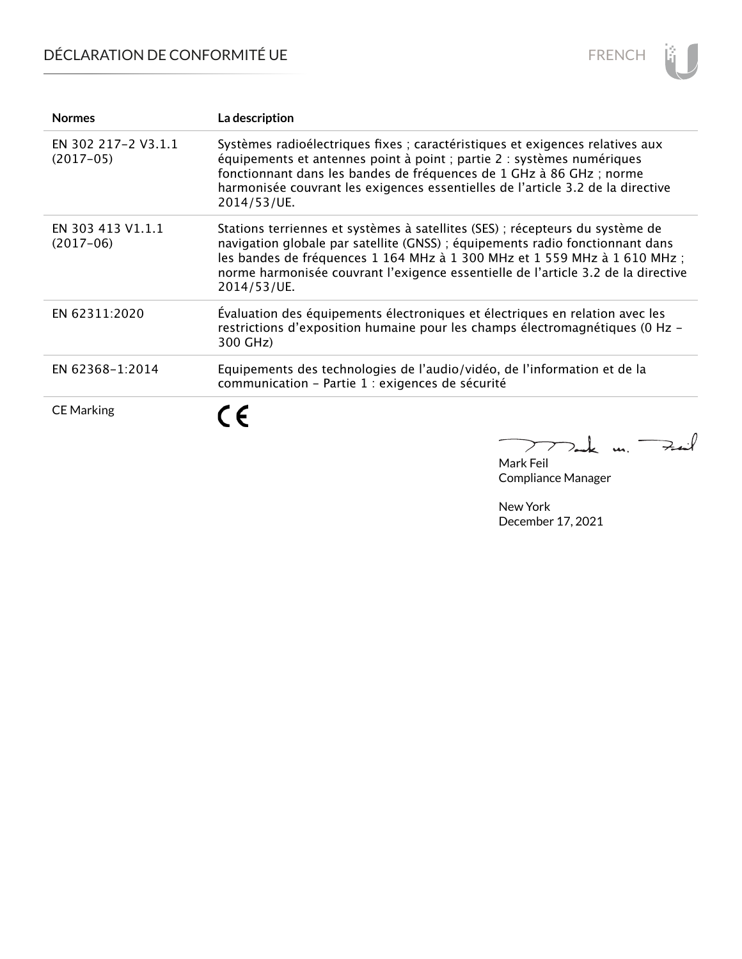# DÉCLARATION DE CONFORMITÉ UE



| <b>Normes</b>                      | La description                                                                                                                                                                                                                                                                                                                                  |
|------------------------------------|-------------------------------------------------------------------------------------------------------------------------------------------------------------------------------------------------------------------------------------------------------------------------------------------------------------------------------------------------|
| EN 302 217-2 V3.1.1<br>$(2017-05)$ | Systèmes radioélectriques fixes ; caractéristiques et exigences relatives aux<br>équipements et antennes point à point ; partie 2 : systèmes numériques<br>fonctionnant dans les bandes de fréquences de 1 GHz à 86 GHz ; norme<br>harmonisée couvrant les exigences essentielles de l'article 3.2 de la directive<br>2014/53/UE.               |
| EN 303 413 V1.1.1<br>$(2017-06)$   | Stations terriennes et systèmes à satellites (SES) ; récepteurs du système de<br>navigation globale par satellite (GNSS) ; équipements radio fonctionnant dans<br>les bandes de fréquences 1 164 MHz à 1 300 MHz et 1 559 MHz à 1 610 MHz ;<br>norme harmonisée couvrant l'exigence essentielle de l'article 3.2 de la directive<br>2014/53/UE. |
| EN 62311:2020                      | Évaluation des équipements électroniques et électriques en relation avec les<br>restrictions d'exposition humaine pour les champs électromagnétiques (0 Hz -<br>300 GHz)                                                                                                                                                                        |
| EN 62368-1:2014                    | Equipements des technologies de l'audio/vidéo, de l'information et de la<br>communication - Partie 1 : exigences de sécurité                                                                                                                                                                                                                    |
| <b>CE Marking</b>                  | C E                                                                                                                                                                                                                                                                                                                                             |

Mark Feil Compliance Manager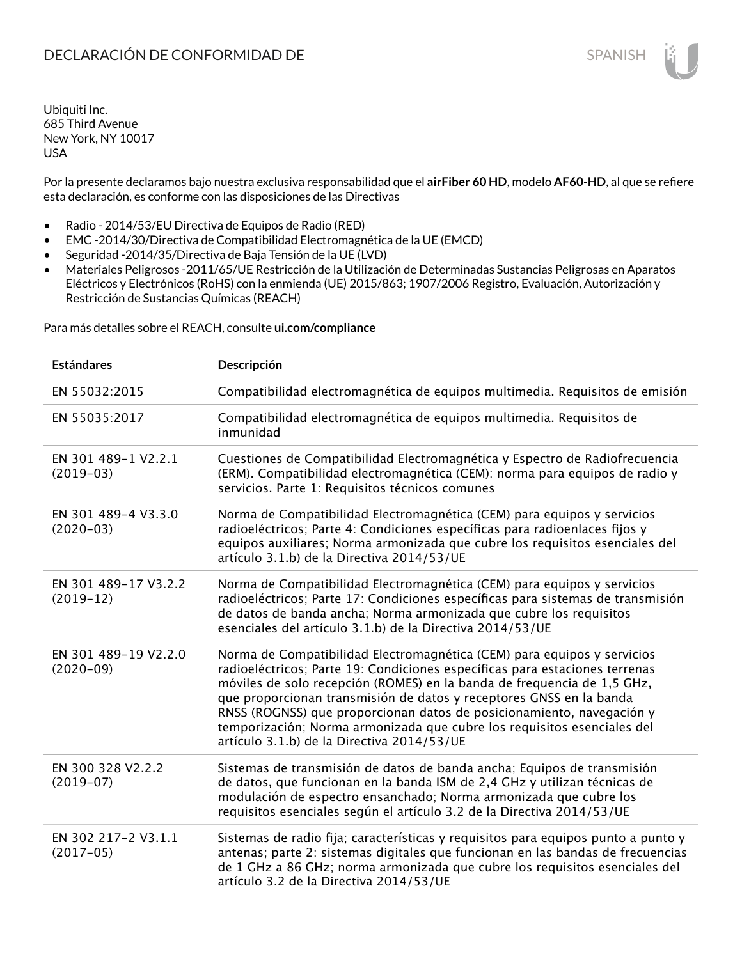Por la presente declaramos bajo nuestra exclusiva responsabilidad que el **airFiber 60 HD**, modelo **AF60-HD**, al que se refiere esta declaración, es conforme con las disposiciones de las Directivas

- Radio 2014/53/EU Directiva de Equipos de Radio (RED)
- EMC -2014/30/Directiva de Compatibilidad Electromagnética de la UE (EMCD)
- Seguridad -2014/35/Directiva de Baja Tensión de la UE (LVD)
- Materiales Peligrosos -2011/65/UE Restricción de la Utilización de Determinadas Sustancias Peligrosas en Aparatos Eléctricos y Electrónicos (RoHS) con la enmienda (UE) 2015/863; 1907/2006 Registro, Evaluación, Autorización y Restricción de Sustancias Químicas (REACH)

Para más detalles sobre el REACH, consulte **ui.com/compliance**

| <b>Estándares</b>                   | Descripción                                                                                                                                                                                                                                                                                                                                                                                                                                                                                                |
|-------------------------------------|------------------------------------------------------------------------------------------------------------------------------------------------------------------------------------------------------------------------------------------------------------------------------------------------------------------------------------------------------------------------------------------------------------------------------------------------------------------------------------------------------------|
| EN 55032:2015                       | Compatibilidad electromagnética de equipos multimedia. Requisitos de emisión                                                                                                                                                                                                                                                                                                                                                                                                                               |
| EN 55035:2017                       | Compatibilidad electromagnética de equipos multimedia. Requisitos de<br>inmunidad                                                                                                                                                                                                                                                                                                                                                                                                                          |
| EN 301 489-1 V2.2.1<br>$(2019-03)$  | Cuestiones de Compatibilidad Electromagnética y Espectro de Radiofrecuencia<br>(ERM). Compatibilidad electromagnética (CEM): norma para equipos de radio y<br>servicios. Parte 1: Requisitos técnicos comunes                                                                                                                                                                                                                                                                                              |
| EN 301 489-4 V3.3.0<br>$(2020-03)$  | Norma de Compatibilidad Electromagnética (CEM) para equipos y servicios<br>radioeléctricos; Parte 4: Condiciones específicas para radioenlaces fijos y<br>equipos auxiliares; Norma armonizada que cubre los requisitos esenciales del<br>artículo 3.1.b) de la Directiva 2014/53/UE                                                                                                                                                                                                                       |
| EN 301 489-17 V3.2.2<br>$(2019-12)$ | Norma de Compatibilidad Electromagnética (CEM) para equipos y servicios<br>radioeléctricos; Parte 17: Condiciones específicas para sistemas de transmisión<br>de datos de banda ancha; Norma armonizada que cubre los requisitos<br>esenciales del artículo 3.1.b) de la Directiva 2014/53/UE                                                                                                                                                                                                              |
| EN 301 489-19 V2.2.0<br>$(2020-09)$ | Norma de Compatibilidad Electromagnética (CEM) para equipos y servicios<br>radioeléctricos; Parte 19: Condiciones específicas para estaciones terrenas<br>móviles de solo recepción (ROMES) en la banda de frequencia de 1,5 GHz,<br>que proporcionan transmisión de datos y receptores GNSS en la banda<br>RNSS (ROGNSS) que proporcionan datos de posicionamiento, navegación y<br>temporización; Norma armonizada que cubre los requisitos esenciales del<br>artículo 3.1.b) de la Directiva 2014/53/UE |
| EN 300 328 V2.2.2<br>$(2019-07)$    | Sistemas de transmisión de datos de banda ancha; Equipos de transmisión<br>de datos, que funcionan en la banda ISM de 2,4 GHz y utilizan técnicas de<br>modulación de espectro ensanchado; Norma armonizada que cubre los<br>requisitos esenciales según el artículo 3.2 de la Directiva 2014/53/UE                                                                                                                                                                                                        |
| EN 302 217-2 V3.1.1<br>$(2017-05)$  | Sistemas de radio fija; características y requisitos para equipos punto a punto y<br>antenas; parte 2: sistemas digitales que funcionan en las bandas de frecuencias<br>de 1 GHz a 86 GHz; norma armonizada que cubre los requisitos esenciales del<br>artículo 3.2 de la Directiva 2014/53/UE                                                                                                                                                                                                             |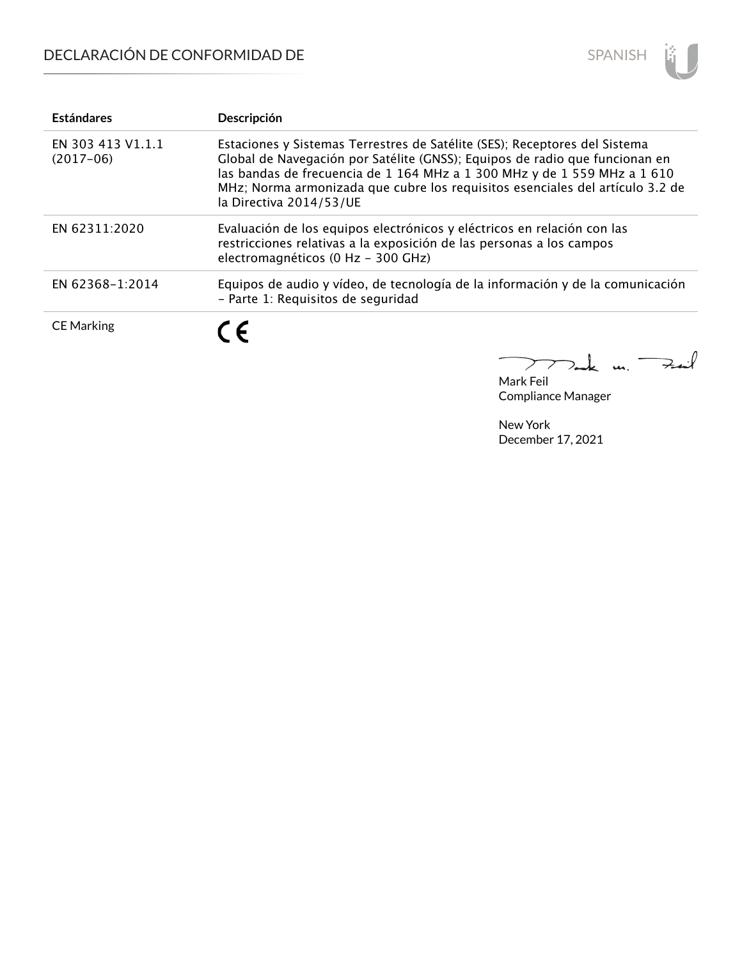

| <b>Estándares</b>                | Descripción                                                                                                                                                                                                                                                                                                                                       |
|----------------------------------|---------------------------------------------------------------------------------------------------------------------------------------------------------------------------------------------------------------------------------------------------------------------------------------------------------------------------------------------------|
| EN 303 413 V1.1.1<br>$(2017-06)$ | Estaciones y Sistemas Terrestres de Satélite (SES); Receptores del Sistema<br>Global de Navegación por Satélite (GNSS); Equipos de radio que funcionan en<br>las bandas de frecuencia de 1 164 MHz a 1 300 MHz y de 1 559 MHz a 1 610<br>MHz; Norma armonizada que cubre los requisitos esenciales del artículo 3.2 de<br>la Directiva 2014/53/UE |
| EN 62311:2020                    | Evaluación de los equipos electrónicos y eléctricos en relación con las<br>restricciones relativas a la exposición de las personas a los campos<br>electromagnéticos (0 Hz - 300 GHz)                                                                                                                                                             |
| EN 62368-1:2014                  | Equipos de audio y vídeo, de tecnología de la información y de la comunicación<br>- Parte 1: Requisitos de seguridad                                                                                                                                                                                                                              |
| <b>CE Marking</b>                | C F                                                                                                                                                                                                                                                                                                                                               |

m. Fail  $\geq$ 

Mark Feil Compliance Manager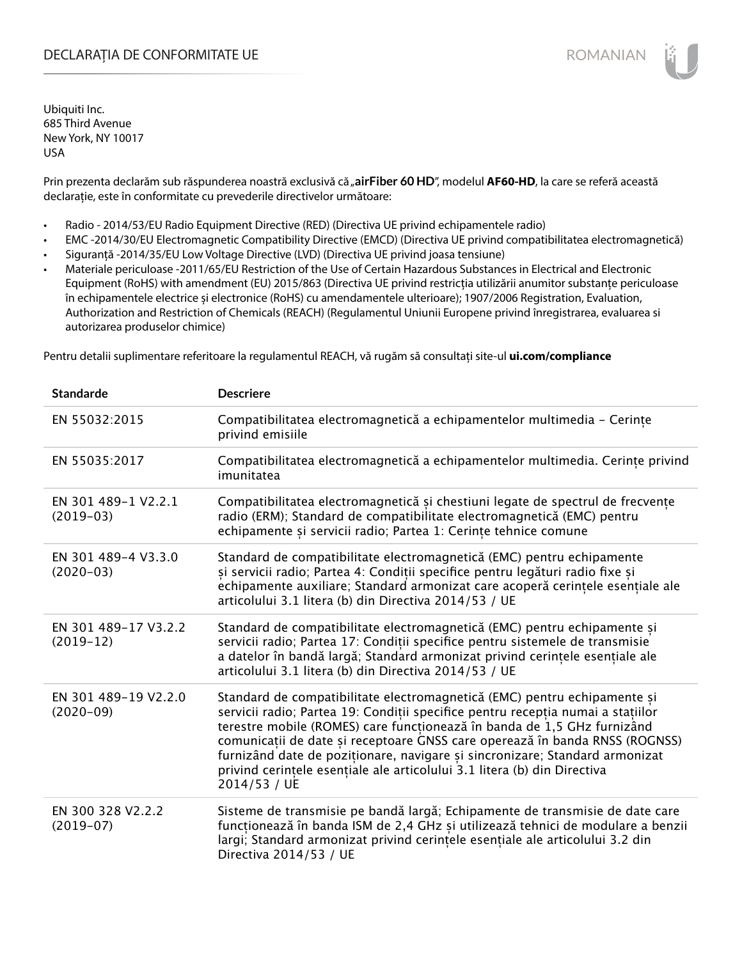### DECLARAȚIA DE CONFORMITATE UE EXECUTE DE ROMANIAN

Ubiquiti Inc. 685 Third Avenue New York, NY 10017 USA

Prin prezenta declarăm sub răspunderea noastră exclusivă că "airFiber 60 HD", modelul AF60-HD, la care se referă această declarație, este în conformitate cu prevederile directivelor următoare:

- Radio 2014/53/EU Radio Equipment Directive (RED) (Directiva UE privind echipamentele radio)
- EMC -2014/30/EU Electromagnetic Compatibility Directive (EMCD) (Directiva UE privind compatibilitatea electromagnetică)
- Siguranță -2014/35/EU Low Voltage Directive (LVD) (Directiva UE privind joasa tensiune)
- Materiale periculoase -2011/65/EU Restriction of the Use of Certain Hazardous Substances in Electrical and Electronic Equipment (RoHS) with amendment (EU) 2015/863 (Directiva UE privind restricția utilizării anumitor substanțe periculoase în echipamentele electrice și electronice (RoHS) cu amendamentele ulterioare); 1907/2006 Registration, Evaluation, Authorization and Restriction of Chemicals (REACH) (Regulamentul Uniunii Europene privind înregistrarea, evaluarea si autorizarea produselor chimice)

Pentru detalii suplimentare referitoare la regulamentul REACH, vă rugăm să consultați site-ul **ui.com/compliance**

| <b>Standarde</b>                    | <b>Descriere</b>                                                                                                                                                                                                                                                                                                                                                                                                                                                                                 |
|-------------------------------------|--------------------------------------------------------------------------------------------------------------------------------------------------------------------------------------------------------------------------------------------------------------------------------------------------------------------------------------------------------------------------------------------------------------------------------------------------------------------------------------------------|
| EN 55032:2015                       | Compatibilitatea electromagnetică a echipamentelor multimedia - Cerințe<br>privind emisiile                                                                                                                                                                                                                                                                                                                                                                                                      |
| EN 55035:2017                       | Compatibilitatea electromagnetică a echipamentelor multimedia. Cerințe privind<br>imunitatea                                                                                                                                                                                                                                                                                                                                                                                                     |
| EN 301 489-1 V2.2.1<br>$(2019-03)$  | Compatibilitatea electromagnetică și chestiuni legate de spectrul de frecvențe<br>radio (ERM); Standard de compatibilitate electromagnetică (EMC) pentru<br>echipamente și servicii radio; Partea 1: Cerințe tehnice comune                                                                                                                                                                                                                                                                      |
| EN 301 489-4 V3.3.0<br>$(2020-03)$  | Standard de compatibilitate electromagnetică (EMC) pentru echipamente<br>și servicii radio; Partea 4: Condiții specifice pentru legături radio fixe și<br>echipamente auxiliare; Standard armonizat care acoperă cerințele esențiale ale<br>articolului 3.1 litera (b) din Directiva 2014/53 / UE                                                                                                                                                                                                |
| EN 301 489-17 V3.2.2<br>$(2019-12)$ | Standard de compatibilitate electromagnetică (EMC) pentru echipamente si<br>servicii radio; Partea 17: Condiții specifice pentru sistemele de transmisie<br>a datelor în bandă largă; Standard armonizat privind cerințele esențiale ale<br>articolului 3.1 litera (b) din Directiva 2014/53 / UE                                                                                                                                                                                                |
| EN 301 489-19 V2.2.0<br>$(2020-09)$ | Standard de compatibilitate electromagnetică (EMC) pentru echipamente și<br>servicii radio; Partea 19: Condiții specifice pentru recepția numai a stațiilor<br>terestre mobile (ROMES) care funcționează în banda de 1,5 GHz furnizând<br>comunicații de date și receptoare GNSS care operează în banda RNSS (ROGNSS)<br>furnizând date de poziționare, navigare și sincronizare; Standard armonizat<br>privind cerințele esențiale ale articolului 3.1 litera (b) din Directiva<br>2014/53 / UE |
| EN 300 328 V2.2.2<br>$(2019-07)$    | Sisteme de transmisie pe bandă largă; Echipamente de transmisie de date care<br>funcționează în banda ISM de 2,4 GHz și utilizează tehnici de modulare a benzii<br>largi; Standard armonizat privind cerințele esențiale ale articolului 3.2 din<br>Directiva 2014/53 / UE                                                                                                                                                                                                                       |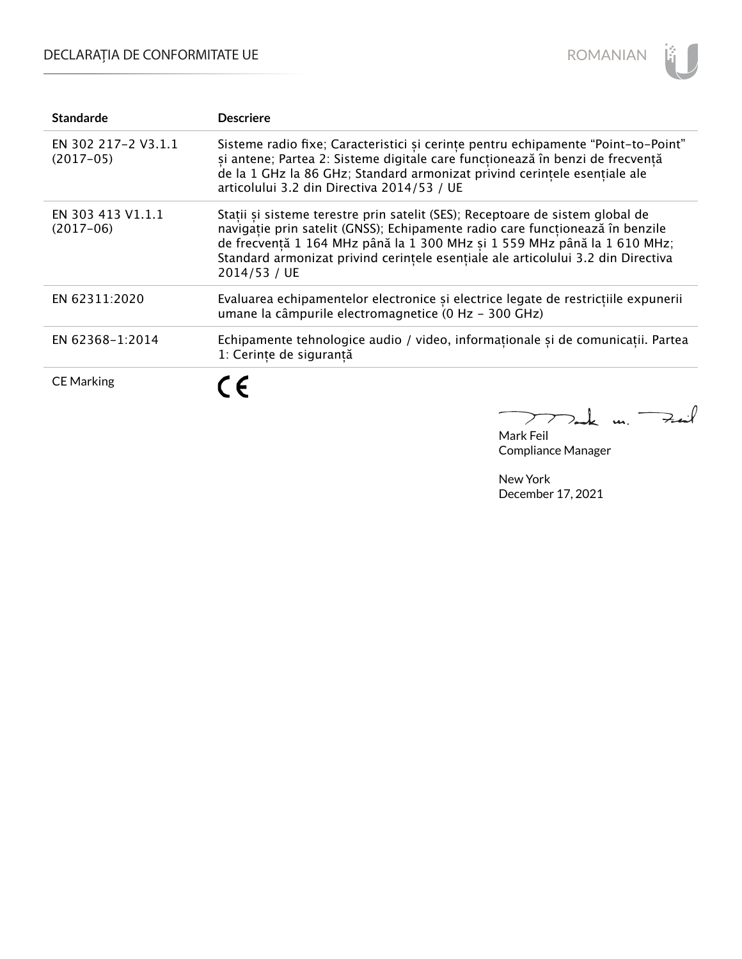# DECLARAȚIA DE CONFORMITATE UE



| <b>Standarde</b>                   | <b>Descriere</b>                                                                                                                                                                                                                                                                                                                               |
|------------------------------------|------------------------------------------------------------------------------------------------------------------------------------------------------------------------------------------------------------------------------------------------------------------------------------------------------------------------------------------------|
| EN 302 217-2 V3.1.1<br>$(2017-05)$ | Sisteme radio fixe; Caracteristici și cerințe pentru echipamente "Point-to-Point"<br>și antene; Partea 2: Sisteme digitale care funcționează în benzi de frecvență<br>de la 1 GHz la 86 GHz; Standard armonizat privind cerintele esentiale ale<br>articolului 3.2 din Directiva 2014/53 / UE                                                  |
| EN 303 413 V1.1.1<br>$(2017-06)$   | Stații și sisteme terestre prin satelit (SES); Receptoare de sistem global de<br>navigație prin satelit (GNSS); Echipamente radio care funcționează în benzile<br>de frecvență 1 164 MHz până la 1 300 MHz și 1 559 MHz până la 1 610 MHz;<br>Standard armonizat privind cerințele esențiale ale articolului 3.2 din Directiva<br>2014/53 / UE |
| EN 62311:2020                      | Evaluarea echipamentelor electronice și electrice legate de restricțiile expunerii<br>umane la câmpurile electromagnetice (0 Hz - 300 GHz)                                                                                                                                                                                                     |
| EN 62368-1:2014                    | Echipamente tehnologice audio / video, informaționale și de comunicații. Partea<br>1: Cerinte de sigurantă                                                                                                                                                                                                                                     |
| <b>CE Marking</b>                  |                                                                                                                                                                                                                                                                                                                                                |

 $k$  m. Fail  $\sum$ 7

Mark Feil Compliance Manager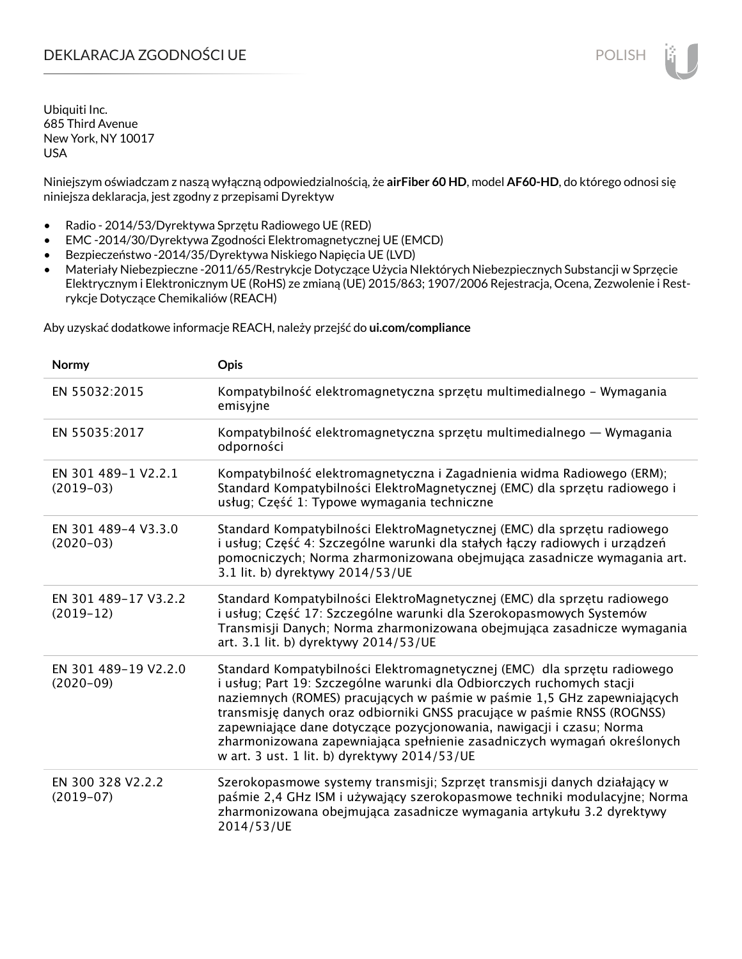### DEKLARACJA ZGODNOŚCI UE POLISH POLISH

Ubiquiti Inc. 685 Third Avenue New York, NY 10017 USA

Niniejszym oświadczam z naszą wyłączną odpowiedzialnością, że **airFiber 60 HD**, model **AF60-HD**, do którego odnosi się niniejsza deklaracja, jest zgodny z przepisami Dyrektyw

- Radio 2014/53/Dyrektywa Sprzętu Radiowego UE (RED)
- EMC -2014/30/Dyrektywa Zgodności Elektromagnetycznej UE (EMCD)
- Bezpieczeństwo -2014/35/Dyrektywa Niskiego Napięcia UE (LVD)
- Materiały Niebezpieczne -2011/65/Restrykcje Dotyczące Użycia NIektórych Niebezpiecznych Substancji w Sprzęcie Elektrycznym i Elektronicznym UE (RoHS) ze zmianą (UE) 2015/863; 1907/2006 Rejestracja, Ocena, Zezwolenie i Restrykcje Dotyczące Chemikaliów (REACH)

Aby uzyskać dodatkowe informacje REACH, należy przejść do **ui.com/compliance**

| Normy                                | <b>Opis</b>                                                                                                                                                                                                                                                                                                                                                                                                                                                                                                |
|--------------------------------------|------------------------------------------------------------------------------------------------------------------------------------------------------------------------------------------------------------------------------------------------------------------------------------------------------------------------------------------------------------------------------------------------------------------------------------------------------------------------------------------------------------|
| EN 55032:2015                        | Kompatybilność elektromagnetyczna sprzętu multimedialnego – Wymagania<br>emisyjne                                                                                                                                                                                                                                                                                                                                                                                                                          |
| EN 55035:2017                        | Kompatybilność elektromagnetyczna sprzętu multimedialnego — Wymagania<br>odporności                                                                                                                                                                                                                                                                                                                                                                                                                        |
| EN 301 489-1 V2.2.1<br>$(2019-03)$   | Kompatybilność elektromagnetyczna i Zagadnienia widma Radiowego (ERM);<br>Standard Kompatybilności ElektroMagnetycznej (EMC) dla sprzętu radiowego i<br>usług; Część 1: Typowe wymagania techniczne                                                                                                                                                                                                                                                                                                        |
| EN 301 489-4 V3.3.0<br>$(2020 - 03)$ | Standard Kompatybilności ElektroMagnetycznej (EMC) dla sprzętu radiowego<br>i usług; Część 4: Szczególne warunki dla stałych łączy radiowych i urządzeń<br>pomocniczych; Norma zharmonizowana obejmująca zasadnicze wymagania art.<br>3.1 lit. b) dyrektywy 2014/53/UE                                                                                                                                                                                                                                     |
| EN 301 489-17 V3.2.2<br>$(2019-12)$  | Standard Kompatybilności ElektroMagnetycznej (EMC) dla sprzętu radiowego<br>i usług; Część 17: Szczególne warunki dla Szerokopasmowych Systemów<br>Transmisji Danych; Norma zharmonizowana obejmująca zasadnicze wymagania<br>art. 3.1 lit. b) dyrektywy 2014/53/UE                                                                                                                                                                                                                                        |
| EN 301 489-19 V2.2.0<br>$(2020-09)$  | Standard Kompatybilności Elektromagnetycznej (EMC) dla sprzętu radiowego<br>i usług; Part 19: Szczególne warunki dla Odbiorczych ruchomych stacji<br>naziemnych (ROMES) pracujących w paśmie w paśmie 1,5 GHz zapewniających<br>transmisję danych oraz odbiorniki GNSS pracujące w paśmie RNSS (ROGNSS)<br>zapewniające dane dotyczące pozycjonowania, nawigacji i czasu; Norma<br>zharmonizowana zapewniająca spełnienie zasadniczych wymagań określonych<br>w art. 3 ust. 1 lit. b) dyrektywy 2014/53/UE |
| EN 300 328 V2.2.2<br>$(2019-07)$     | Szerokopasmowe systemy transmisji; Szprzęt transmisji danych działający w<br>paśmie 2,4 GHz ISM i używający szerokopasmowe techniki modulacyjne; Norma<br>zharmonizowana obejmująca zasadnicze wymagania artykułu 3.2 dyrektywy<br>2014/53/UE                                                                                                                                                                                                                                                              |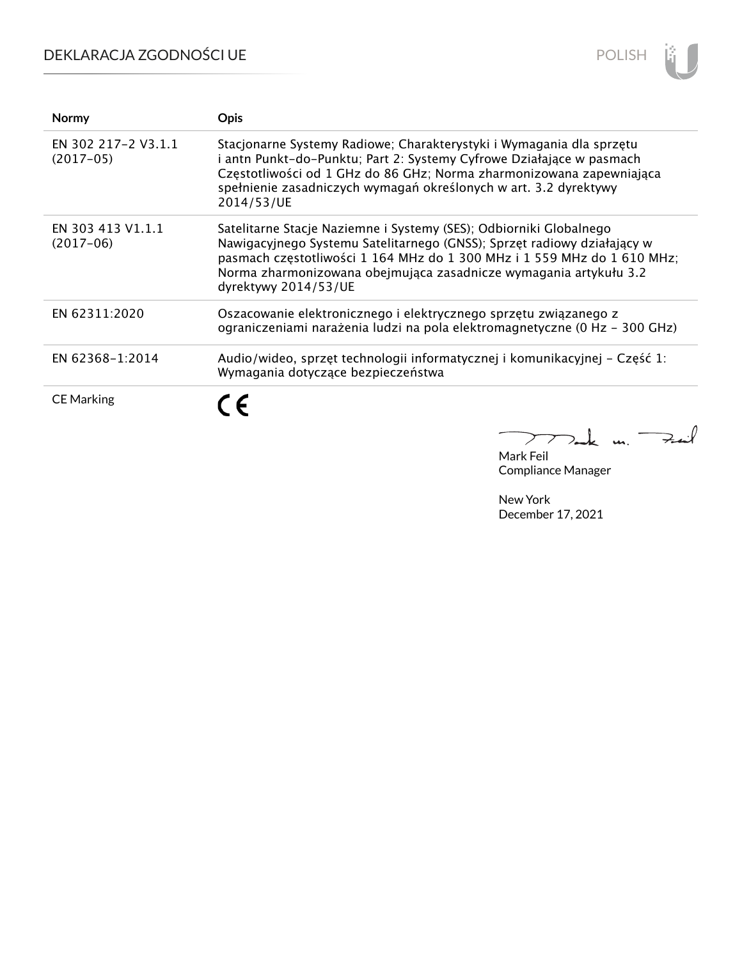## DEKLARACJA ZGODNOŚCI UE



| <b>Normy</b>                       | Opis                                                                                                                                                                                                                                                                                                                  |
|------------------------------------|-----------------------------------------------------------------------------------------------------------------------------------------------------------------------------------------------------------------------------------------------------------------------------------------------------------------------|
| EN 302 217-2 V3.1.1<br>$(2017-05)$ | Stacjonarne Systemy Radiowe; Charakterystyki i Wymagania dla sprzętu<br>i antn Punkt-do-Punktu; Part 2: Systemy Cyfrowe Działające w pasmach<br>Częstotliwości od 1 GHz do 86 GHz; Norma zharmonizowana zapewniająca<br>spełnienie zasadniczych wymagań określonych w art. 3.2 dyrektywy<br>2014/53/UE                |
| EN 303 413 V1.1.1<br>$(2017-06)$   | Satelitarne Stacje Naziemne i Systemy (SES); Odbiorniki Globalnego<br>Nawigacyjnego Systemu Satelitarnego (GNSS); Sprzęt radiowy działający w<br>pasmach częstotliwości 1 164 MHz do 1 300 MHz i 1 559 MHz do 1 610 MHz;<br>Norma zharmonizowana obejmująca zasadnicze wymagania artykułu 3.2<br>dyrektywy 2014/53/UE |
| EN 62311:2020                      | Oszacowanie elektronicznego i elektrycznego sprzętu związanego z<br>ograniczeniami narażenia ludzi na pola elektromagnetyczne (0 Hz - 300 GHz)                                                                                                                                                                        |
| EN 62368-1:2014                    | Audio/wideo, sprzęt technologii informatycznej i komunikacyjnej – Część 1:<br>Wymagania dotyczące bezpieczeństwa                                                                                                                                                                                                      |
| <b>CE Marking</b>                  |                                                                                                                                                                                                                                                                                                                       |

 $\mathcal{A}$  $\overline{\phantom{0}}$  $\geq$  $\mathbf{u}$ 7.

Mark Feil Compliance Manager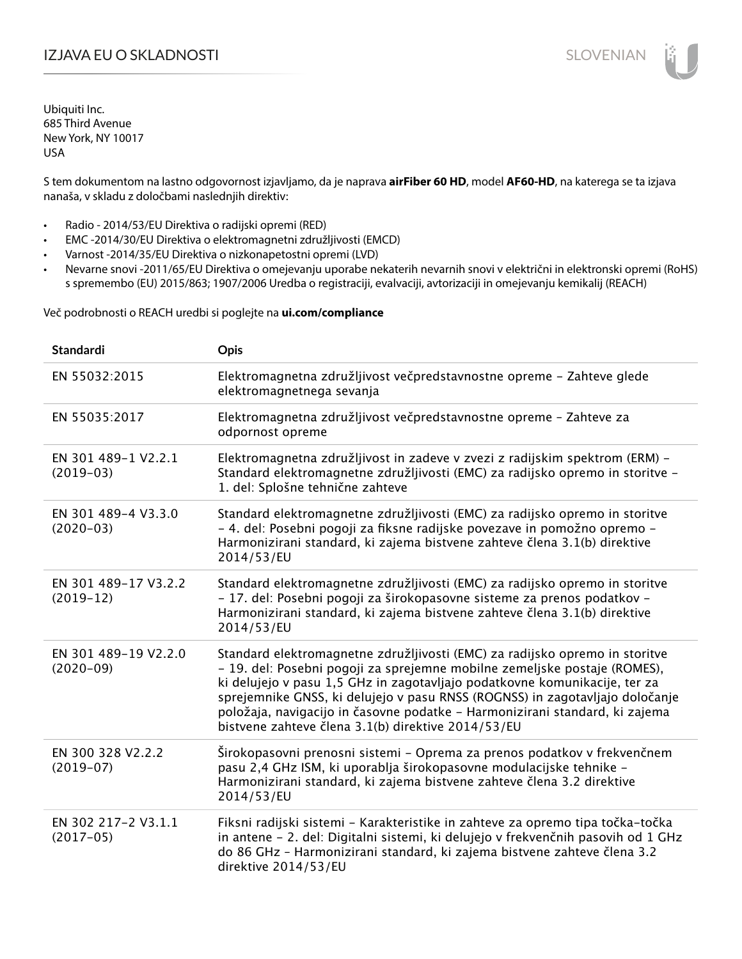## IZJAVA EU O SKLADNOSTI SLOVENIAN

Ubiquiti Inc. 685 Third Avenue New York, NY 10017 USA

S tem dokumentom na lastno odgovornost izjavljamo, da je naprava **airFiber 60 HD**, model **AF60-HD**, na katerega se ta izjava nanaša, v skladu z določbami naslednjih direktiv:

- Radio 2014/53/EU Direktiva o radijski opremi (RED)
- EMC -2014/30/EU Direktiva o elektromagnetni združljivosti (EMCD)
- Varnost -2014/35/EU Direktiva o nizkonapetostni opremi (LVD)
- Nevarne snovi -2011/65/EU Direktiva o omejevanju uporabe nekaterih nevarnih snovi v električni in elektronski opremi (RoHS) s spremembo (EU) 2015/863; 1907/2006 Uredba o registraciji, evalvaciji, avtorizaciji in omejevanju kemikalij (REACH)

Več podrobnosti o REACH uredbi si poglejte na **ui.com/compliance**

| <b>Standardi</b>                    | Opis                                                                                                                                                                                                                                                                                                                                                                                                                                                        |
|-------------------------------------|-------------------------------------------------------------------------------------------------------------------------------------------------------------------------------------------------------------------------------------------------------------------------------------------------------------------------------------------------------------------------------------------------------------------------------------------------------------|
| EN 55032:2015                       | Elektromagnetna združljivost večpredstavnostne opreme - Zahteve glede<br>elektromagnetnega sevanja                                                                                                                                                                                                                                                                                                                                                          |
| EN 55035:2017                       | Elektromagnetna združljivost večpredstavnostne opreme - Zahteve za<br>odpornost opreme                                                                                                                                                                                                                                                                                                                                                                      |
| EN 301 489-1 V2.2.1<br>$(2019-03)$  | Elektromagnetna združljivost in zadeve v zvezi z radijskim spektrom (ERM) -<br>Standard elektromagnetne združljivosti (EMC) za radijsko opremo in storitve -<br>1. del: Splošne tehnične zahteve                                                                                                                                                                                                                                                            |
| EN 301 489-4 V3.3.0<br>$(2020-03)$  | Standard elektromagnetne združljivosti (EMC) za radijsko opremo in storitve<br>- 4. del: Posebni pogoji za fiksne radijske povezave in pomožno opremo -<br>Harmonizirani standard, ki zajema bistvene zahteve člena 3.1(b) direktive<br>2014/53/EU                                                                                                                                                                                                          |
| EN 301 489-17 V3.2.2<br>$(2019-12)$ | Standard elektromagnetne združljivosti (EMC) za radijsko opremo in storitve<br>- 17. del: Posebni pogoji za širokopasovne sisteme za prenos podatkov -<br>Harmonizirani standard, ki zajema bistvene zahteve člena 3.1(b) direktive<br>2014/53/EU                                                                                                                                                                                                           |
| EN 301 489-19 V2.2.0<br>$(2020-09)$ | Standard elektromagnetne združljivosti (EMC) za radijsko opremo in storitve<br>- 19. del: Posebni pogoji za sprejemne mobilne zemeljske postaje (ROMES),<br>ki delujejo v pasu 1,5 GHz in zagotavljajo podatkovne komunikacije, ter za<br>sprejemnike GNSS, ki delujejo v pasu RNSS (ROGNSS) in zagotavljajo določanje<br>položaja, navigacijo in časovne podatke - Harmonizirani standard, ki zajema<br>bistvene zahteve člena 3.1(b) direktive 2014/53/EU |
| EN 300 328 V2.2.2<br>$(2019-07)$    | Širokopasovni prenosni sistemi - Oprema za prenos podatkov v frekvenčnem<br>pasu 2,4 GHz ISM, ki uporablja širokopasovne modulacijske tehnike -<br>Harmonizirani standard, ki zajema bistvene zahteve člena 3.2 direktive<br>2014/53/EU                                                                                                                                                                                                                     |
| EN 302 217-2 V3.1.1<br>$(2017-05)$  | Fiksni radijski sistemi - Karakteristike in zahteve za opremo tipa točka-točka<br>in antene - 2. del: Digitalni sistemi, ki delujejo v frekvenčnih pasovih od 1 GHz<br>do 86 GHz - Harmonizirani standard, ki zajema bistvene zahteve člena 3.2<br>direktive 2014/53/EU                                                                                                                                                                                     |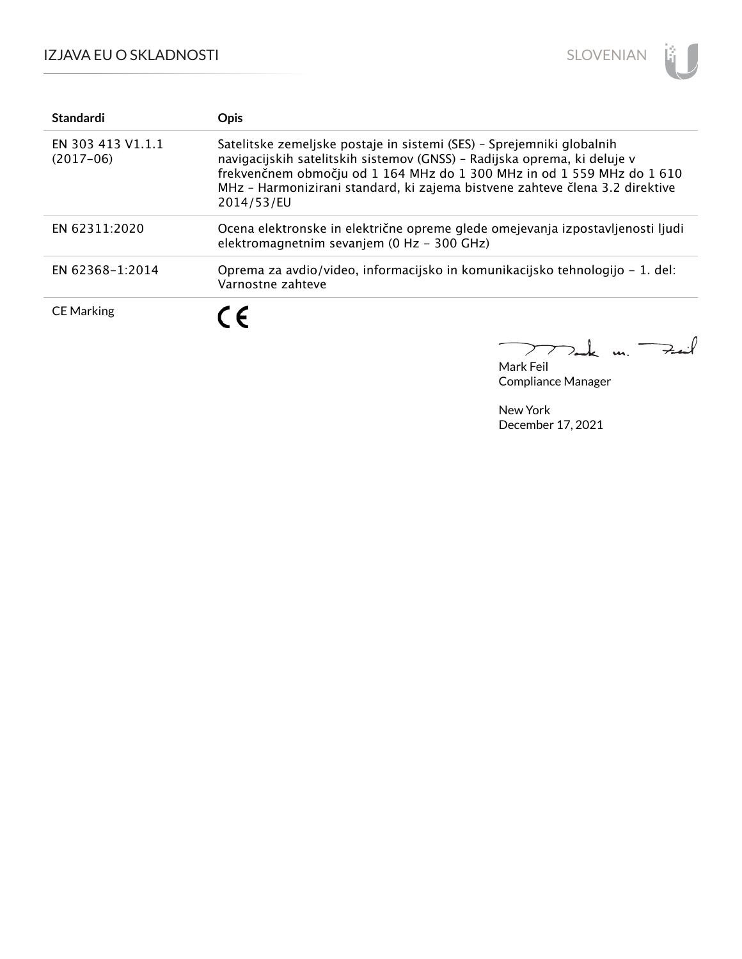

| <b>Standardi</b>                 | <b>Opis</b>                                                                                                                                                                                                                                                                                                               |
|----------------------------------|---------------------------------------------------------------------------------------------------------------------------------------------------------------------------------------------------------------------------------------------------------------------------------------------------------------------------|
| EN 303 413 V1.1.1<br>$(2017-06)$ | Satelitske zemeljske postaje in sistemi (SES) - Sprejemniki globalnih<br>navigacijskih satelitskih sistemov (GNSS) - Radijska oprema, ki deluje v<br>frekvenčnem območju od 1 164 MHz do 1 300 MHz in od 1 559 MHz do 1 610<br>MHz - Harmonizirani standard, ki zajema bistvene zahteve člena 3.2 direktive<br>2014/53/EU |
| EN 62311:2020                    | Ocena elektronske in električne opreme glede omejevanja izpostavljenosti ljudi<br>elektromagnetnim sevanjem (0 Hz - 300 GHz)                                                                                                                                                                                              |
| EN 62368-1:2014                  | Oprema za avdio/video, informacijsko in komunikacijsko tehnologijo – 1. del:<br>Varnostne zahteve                                                                                                                                                                                                                         |
| <b>CE Marking</b>                | $\epsilon$                                                                                                                                                                                                                                                                                                                |

Mark Feil Compliance Manager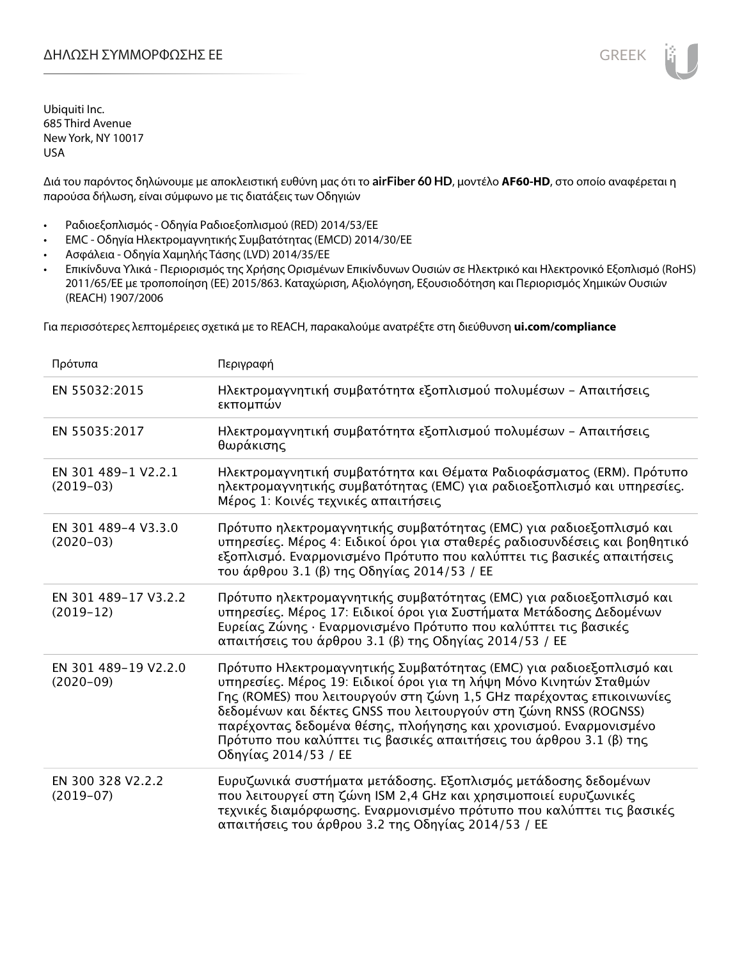Διά του παρόντος δηλώνουμε με αποκλειστική ευθύνη μας ότι το **airFiber 60 HD**, μοντέλο **AF60-HD**, στο οποίο αναφέρεται η παρούσα δήλωση, είναι σύμφωνο με τις διατάξεις των Οδηγιών

- Ραδιοεξοπλισμός Οδηγία Ραδιοεξοπλισμού (RED) 2014/53/ΕΕ
- EMC Οδηγία Ηλεκτρομαγνητικής Συμβατότητας (EMCD) 2014/30/ΕΕ
- Ασφάλεια Οδηγία Χαμηλής Τάσης (LVD) 2014/35/ΕΕ
- Επικίνδυνα Υλικά Περιορισμός της Χρήσης Ορισμένων Επικίνδυνων Ουσιών σε Ηλεκτρικό και Ηλεκτρονικό Εξοπλισμό (RoHS) 2011/65/ΕΕ με τροποποίηση (ΕΕ) 2015/863. Καταχώριση, Αξιολόγηση, Εξουσιοδότηση και Περιορισμός Χημικών Ουσιών (REACH) 1907/2006

Για περισσότερες λεπτομέρειες σχετικά με το REACH, παρακαλούμε ανατρέξτε στη διεύθυνση **ui.com/compliance**

| Πρότυπα                             | Περιγραφή                                                                                                                                                                                                                                                                                                                                                                                                                                                |
|-------------------------------------|----------------------------------------------------------------------------------------------------------------------------------------------------------------------------------------------------------------------------------------------------------------------------------------------------------------------------------------------------------------------------------------------------------------------------------------------------------|
| EN 55032:2015                       | Ηλεκτρομαγνητική συμβατότητα εξοπλισμού πολυμέσων - Απαιτήσεις<br>εκπομπών                                                                                                                                                                                                                                                                                                                                                                               |
| EN 55035:2017                       | Ηλεκτρομαγνητική συμβατότητα εξοπλισμού πολυμέσων - Απαιτήσεις<br>θωράκισης                                                                                                                                                                                                                                                                                                                                                                              |
| EN 301 489-1 V2.2.1<br>$(2019-03)$  | Ηλεκτρομαγνητική συμβατότητα και Θέματα Ραδιοφάσματος (ERM). Πρότυπο<br>ηλεκτρομαγνητικής συμβατότητας (EMC) για ραδιοεξοπλισμό και υπηρεσίες.<br>Μέρος 1: Κοινές τεχνικές απαιτήσεις                                                                                                                                                                                                                                                                    |
| EN 301 489-4 V3.3.0<br>$(2020-03)$  | Πρότυπο ηλεκτρομαγνητικής συμβατότητας (ΕΜC) για ραδιοεξοπλισμό και<br>υπηρεσίες. Μέρος 4: Ειδικοί όροι για σταθερές ραδιοσυνδέσεις και βοηθητικό<br>εξοπλισμό. Εναρμονισμένο Πρότυπο που καλύπτει τις βασικές απαιτήσεις<br>του άρθρου 3.1 (β) της Οδηγίας 2014/53 / ΕΕ                                                                                                                                                                                 |
| EN 301 489-17 V3.2.2<br>$(2019-12)$ | Πρότυπο ηλεκτρομαγνητικής συμβατότητας (EMC) για ραδιοεξοπλισμό και<br>υπηρεσίες. Μέρος 17: Ειδικοί όροι για Συστήματα Μετάδοσης Δεδομένων<br>Ευρείας Ζώνης · Εναρμονισμένο Πρότυπο που καλύπτει τις βασικές<br>απαιτήσεις του άρθρου 3.1 (β) της Οδηγίας 2014/53 / ΕΕ                                                                                                                                                                                   |
| EN 301 489-19 V2.2.0<br>$(2020-09)$ | Πρότυπο Ηλεκτρομαγνητικής Συμβατότητας (ΕΜC) για ραδιοεξοπλισμό και<br>υπηρεσίες. Μέρος 19: Ειδικοί όροι για τη λήψη Μόνο Κινητών Σταθμών<br>Γης (ROMES) που λειτουργούν στη ζώνη 1,5 GHz παρέχοντας επικοινωνίες<br>δεδομένων και δέκτες GNSS που λειτουργούν στη ζώνη RNSS (ROGNSS)<br>παρέχοντας δεδομένα θέσης, πλοήγησης και χρονισμού. Εναρμονισμένο<br>Πρότυπο που καλύπτει τις βασικές απαιτήσεις του άρθρου 3.1 (β) της<br>Οδηγίας 2014/53 / ΕΕ |
| EN 300 328 V2.2.2<br>$(2019-07)$    | Ευρυζωνικά συστήματα μετάδοσης. Εξοπλισμός μετάδοσης δεδομένων<br>που λειτουργεί στη ζώνη ISM 2,4 GHz και χρησιμοποιεί ευρυζωνικές<br>τεχνικές διαμόρφωσης. Εναρμονισμένο πρότυπο που καλύπτει τις βασικές<br>απαιτήσεις του άρθρου 3.2 της Οδηγίας 2014/53 / ΕΕ                                                                                                                                                                                         |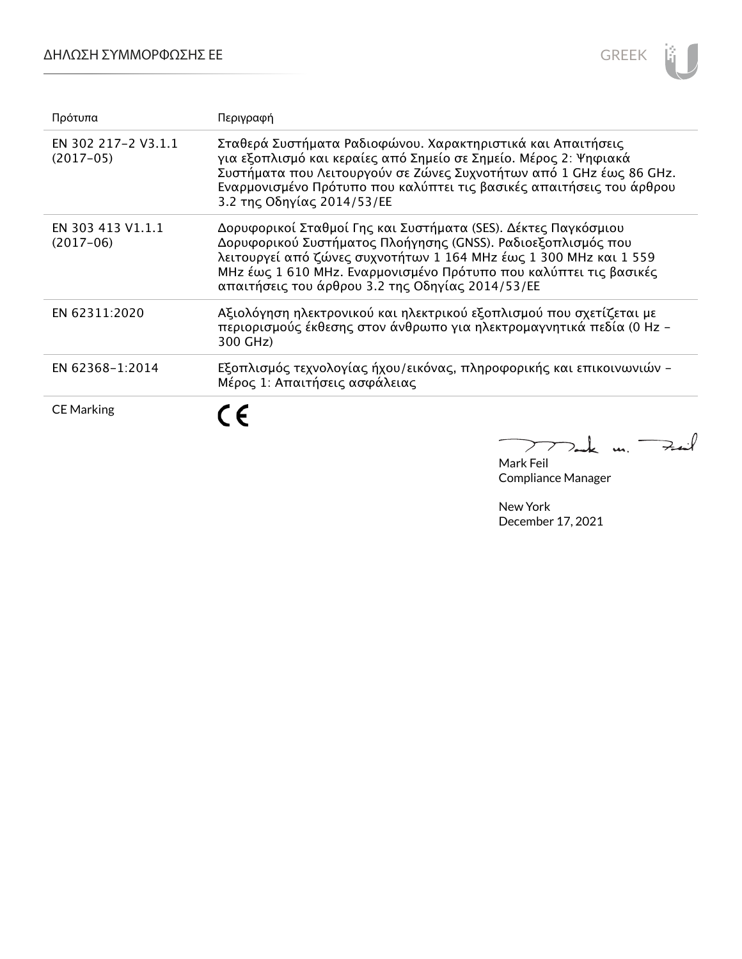

| Πρότυπα                            | Περιγραφή                                                                                                                                                                                                                                                                                                                    |
|------------------------------------|------------------------------------------------------------------------------------------------------------------------------------------------------------------------------------------------------------------------------------------------------------------------------------------------------------------------------|
| EN 302 217-2 V3.1.1<br>$(2017-05)$ | Σταθερά Συστήματα Ραδιοφώνου. Χαρακτηριστικά και Απαιτήσεις<br>για εξοπλισμό και κεραίες από Σημείο σε Σημείο. Μέρος 2: Ψηφιακά<br>Συστήματα που Λειτουργούν σε Ζώνες Συχνοτήτων από 1 GHz έως 86 GHz.<br>Εναρμονισμένο Πρότυπο που καλύπτει τις βασικές απαιτήσεις του άρθρου<br>3.2 της Οδηγίας 2014/53/ΕΕ                 |
| EN 303 413 V1.1.1<br>$(2017-06)$   | Δορυφορικοί Σταθμοί Γης και Συστήματα (SES). Δέκτες Παγκόσμιου<br>Δορυφορικού Συστήματος Πλοήγησης (GNSS). Ραδιοεξοπλισμός που<br>λειτουργεί από ζώνες συχνοτήτων 1 164 MHz έως 1 300 MHz και 1 559<br>MHz έως 1 610 MHz. Εναρμονισμένο Πρότυπο που καλύπτει τις βασικές<br>απαιτήσεις του άρθρου 3.2 της Οδηγίας 2014/53/ΕΕ |
| EN 62311:2020                      | Αξιολόγηση ηλεκτρονικού και ηλεκτρικού εξοπλισμού που σχετίζεται με<br>περιορισμούς έκθεσης στον άνθρωπο για ηλεκτρομαγνητικά πεδία (0 Hz -<br>300 GHz)                                                                                                                                                                      |
| EN 62368-1:2014                    | Εξοπλισμός τεχνολογίας ήχου/εικόνας, πληροφορικής και επικοινωνιών -<br>Μέρος 1: Απαιτήσεις ασφάλειας                                                                                                                                                                                                                        |
| <b>CE Marking</b>                  |                                                                                                                                                                                                                                                                                                                              |

Mark Feil Compliance Manager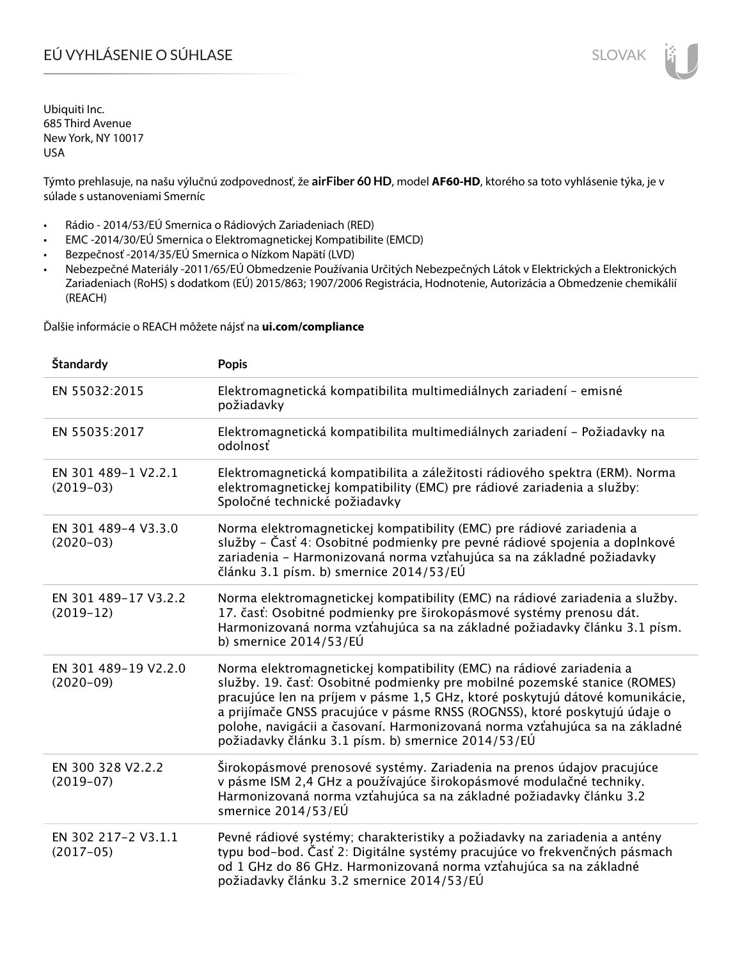# EÚ VYHLÁSENIE O SÚHLASE SLOVAK SLOVAK

Ubiquiti Inc. 685 Third Avenue New York, NY 10017 USA

Týmto prehlasuje, na našu výlučnú zodpovednosť, že **airFiber 60 HD**, model **AF60-HD**, ktorého sa toto vyhlásenie týka, je v súlade s ustanoveniami Smerníc

- Rádio 2014/53/EÚ Smernica o Rádiových Zariadeniach (RED)
- EMC -2014/30/EÚ Smernica o Elektromagnetickej Kompatibilite (EMCD)
- Bezpečnosť -2014/35/EÚ Smernica o Nízkom Napätí (LVD)
- Nebezpečné Materiály -2011/65/EÚ Obmedzenie Používania Určitých Nebezpečných Látok v Elektrických a Elektronických Zariadeniach (RoHS) s dodatkom (EÚ) 2015/863; 1907/2006 Registrácia, Hodnotenie, Autorizácia a Obmedzenie chemikálií (REACH)

Ďalšie informácie o REACH môžete nájsť na **ui.com/compliance**

| Štandardy                             | <b>Popis</b>                                                                                                                                                                                                                                                                                                                                                                                                                                        |
|---------------------------------------|-----------------------------------------------------------------------------------------------------------------------------------------------------------------------------------------------------------------------------------------------------------------------------------------------------------------------------------------------------------------------------------------------------------------------------------------------------|
| EN 55032:2015                         | Elektromagnetická kompatibilita multimediálnych zariadení - emisné<br>požiadavky                                                                                                                                                                                                                                                                                                                                                                    |
| EN 55035:2017                         | Elektromagnetická kompatibilita multimediálnych zariadení – Požiadavky na<br>odolnosť                                                                                                                                                                                                                                                                                                                                                               |
| EN 301 489-1 V2.2.1<br>$(2019-03)$    | Elektromagnetická kompatibilita a záležitosti rádiového spektra (ERM). Norma<br>elektromagnetickej kompatibility (EMC) pre rádiové zariadenia a služby:<br>Spoločné technické požiadavky                                                                                                                                                                                                                                                            |
| EN 301 489-4 V3.3.0<br>$(2020-03)$    | Norma elektromagnetickej kompatibility (EMC) pre rádiové zariadenia a<br>služby – Časť 4: Osobitné podmienky pre pevné rádiové spojenia a doplnkové<br>zariadenia - Harmonizovaná norma vzťahujúca sa na základné požiadavky<br>článku 3.1 písm. b) smernice 2014/53/EÚ                                                                                                                                                                             |
| EN 301 489-17 V3.2.2<br>$(2019-12)$   | Norma elektromagnetickej kompatibility (EMC) na rádiové zariadenia a služby.<br>17. časť: Osobitné podmienky pre širokopásmové systémy prenosu dát.<br>Harmonizovaná norma vzťahujúca sa na základné požiadavky článku 3.1 písm.<br>b) smernice $2014/53/EU$                                                                                                                                                                                        |
| EN 301 489-19 V2.2.0<br>$(2020 - 09)$ | Norma elektromagnetickej kompatibility (EMC) na rádiové zariadenia a<br>služby. 19. časť: Osobitné podmienky pre mobilné pozemské stanice (ROMES)<br>pracujúce len na príjem v pásme 1,5 GHz, ktoré poskytujú dátové komunikácie,<br>a prijímače GNSS pracujúce v pásme RNSS (ROGNSS), ktoré poskytujú údaje o<br>polohe, navigácii a časovaní. Harmonizovaná norma vzťahujúca sa na základné<br>požiadavky článku 3.1 písm. b) smernice 2014/53/EÚ |
| EN 300 328 V2.2.2<br>$(2019-07)$      | Širokopásmové prenosové systémy. Zariadenia na prenos údajov pracujúce<br>v pásme ISM 2,4 GHz a používajúce širokopásmové modulačné techniky.<br>Harmonizovaná norma vzťahujúca sa na základné požiadavky článku 3.2<br>smernice 2014/53/EÚ                                                                                                                                                                                                         |
| EN 302 217-2 V3.1.1<br>$(2017-05)$    | Pevné rádiové systémy; charakteristiky a požiadavky na zariadenia a antény<br>typu bod-bod. Časť 2: Digitálne systémy pracujúce vo frekvenčných pásmach<br>od 1 GHz do 86 GHz. Harmonizovaná norma vzťahujúca sa na základné<br>požiadavky článku 3.2 smernice 2014/53/EÚ                                                                                                                                                                           |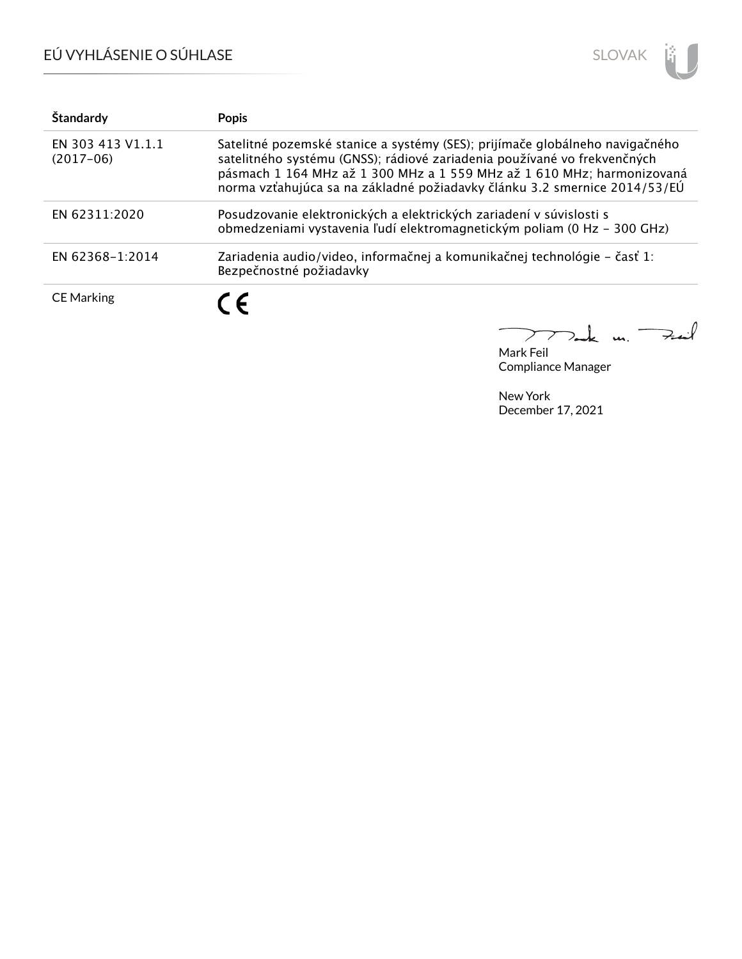# EÚ VYHLÁSENIE O SÚHLASE



| Štandardy                        | <b>Popis</b>                                                                                                                                                                                                                                                                                                    |
|----------------------------------|-----------------------------------------------------------------------------------------------------------------------------------------------------------------------------------------------------------------------------------------------------------------------------------------------------------------|
| EN 303 413 V1.1.1<br>$(2017-06)$ | Satelitné pozemské stanice a systémy (SES); prijímače globálneho navigačného<br>satelitného systému (GNSS); rádiové zariadenia používané vo frekvenčných<br>pásmach 1 164 MHz až 1 300 MHz a 1 559 MHz až 1 610 MHz; harmonizovaná<br>norma vzťahujúca sa na základné požiadavky článku 3.2 smernice 2014/53/EÚ |
| EN 62311:2020                    | Posudzovanie elektronických a elektrických zariadení v súvislosti s<br>obmedzeniami vystavenia ľudí elektromagnetickým poliam (0 Hz - 300 GHz)                                                                                                                                                                  |
| EN 62368-1:2014                  | Zariadenia audio/video, informačnej a komunikačnej technológie – časť 1:<br>Bezpečnostné požiadavky                                                                                                                                                                                                             |
| <b>CE Marking</b>                | C E                                                                                                                                                                                                                                                                                                             |

 $u_{1}$   $\rightarrow$  $\overline{\phantom{0}}$  $\perp$  $\sum$  $\mathcal{D}_{\mathbf{z}}$ 

Mark Feil Compliance Manager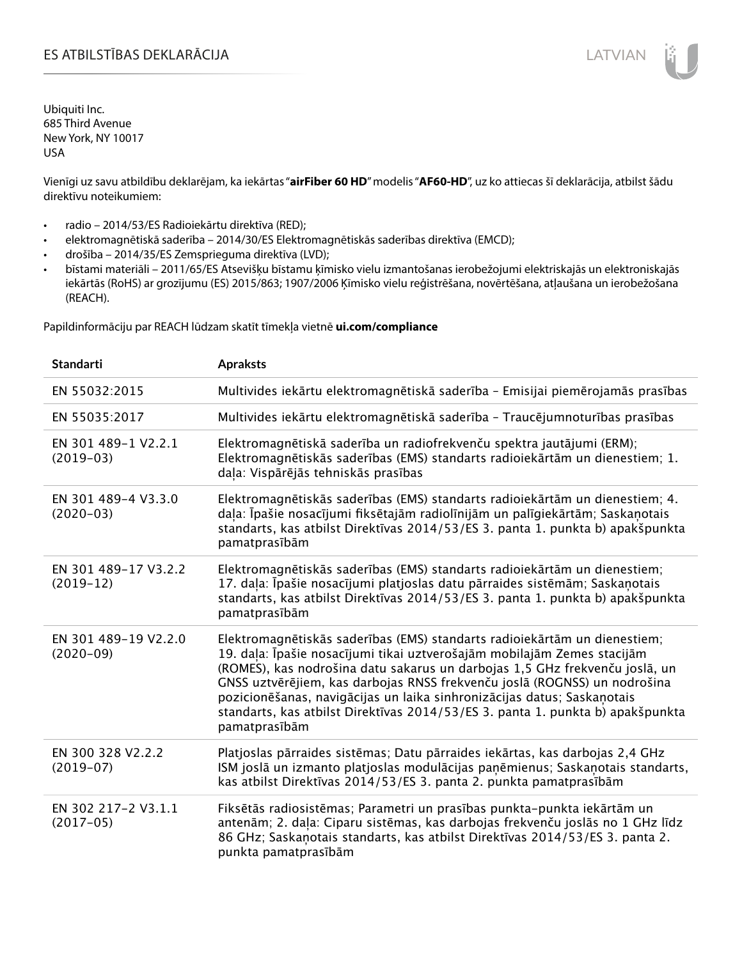### ES ATBILSTĪBAS DEKLARĀCIJA LATVIAN

Ubiquiti Inc. 685 Third Avenue New York, NY 10017 USA

Vienīgi uz savu atbildību deklarējam, ka iekārtas "**airFiber 60 HD**" modelis "**AF60-HD**", uz ko attiecas šī deklarācija, atbilst šādu direktīvu noteikumiem:

- radio 2014/53/ES Radioiekārtu direktīva (RED);
- elektromagnētiskā saderība 2014/30/ES Elektromagnētiskās saderības direktīva (EMCD);
- drošība 2014/35/ES Zemsprieguma direktīva (LVD);
- bīstami materiāli 2011/65/ES Atsevišķu bīstamu ķīmisko vielu izmantošanas ierobežojumi elektriskajās un elektroniskajās iekārtās (RoHS) ar grozījumu (ES) 2015/863; 1907/2006 Ķīmisko vielu reģistrēšana, novērtēšana, atļaušana un ierobežošana (REACH).

Papildinformāciju par REACH lūdzam skatīt tīmekļa vietnē **ui.com/compliance**

| <b>Standarti</b>                    | <b>Apraksts</b>                                                                                                                                                                                                                                                                                                                                                                                                                                                                                |
|-------------------------------------|------------------------------------------------------------------------------------------------------------------------------------------------------------------------------------------------------------------------------------------------------------------------------------------------------------------------------------------------------------------------------------------------------------------------------------------------------------------------------------------------|
| EN 55032:2015                       | Multivides iekārtu elektromagnētiskā saderība - Emisijai piemērojamās prasības                                                                                                                                                                                                                                                                                                                                                                                                                 |
| EN 55035:2017                       | Multivides iekārtu elektromagnētiskā saderība - Traucējumnoturības prasības                                                                                                                                                                                                                                                                                                                                                                                                                    |
| EN 301 489-1 V2.2.1<br>$(2019-03)$  | Elektromagnētiskā saderība un radiofrekvenču spektra jautājumi (ERM);<br>Elektromagnētiskās saderības (EMS) standarts radioiekārtām un dienestiem; 1.<br>daļa: Vispārējās tehniskās prasības                                                                                                                                                                                                                                                                                                   |
| EN 301 489-4 V3.3.0<br>$(2020-03)$  | Elektromagnētiskās saderības (EMS) standarts radioiekārtām un dienestiem; 4.<br>daļa: Īpašie nosacījumi fiksētajām radiolīnijām un palīgiekārtām; Saskaņotais<br>standarts, kas atbilst Direktīvas 2014/53/ES 3. panta 1. punkta b) apakšpunkta<br>pamatprasībām                                                                                                                                                                                                                               |
| EN 301 489-17 V3.2.2<br>$(2019-12)$ | Elektromagnētiskās saderības (EMS) standarts radioiekārtām un dienestiem;<br>17. daļa: Īpašie nosacījumi platjoslas datu pārraides sistēmām; Saskaņotais<br>standarts, kas atbilst Direktīvas 2014/53/ES 3. panta 1. punkta b) apakšpunkta<br>pamatprasībām                                                                                                                                                                                                                                    |
| EN 301 489-19 V2.2.0<br>$(2020-09)$ | Elektromagnētiskās saderības (EMS) standarts radioiekārtām un dienestiem;<br>19. daļa: Īpašie nosacījumi tikai uztverošajām mobilajām Zemes stacijām<br>(ROMES), kas nodrošina datu sakarus un darbojas 1,5 GHz frekvenču joslā, un<br>GNSS uztvērējiem, kas darbojas RNSS frekvenču joslā (ROGNSS) un nodrošina<br>pozicionēšanas, navigācijas un laika sinhronizācijas datus; Saskaņotais<br>standarts, kas atbilst Direktīvas 2014/53/ES 3. panta 1. punkta b) apakšpunkta<br>pamatprasībām |
| EN 300 328 V2.2.2<br>$(2019-07)$    | Platjoslas pārraides sistēmas; Datu pārraides iekārtas, kas darbojas 2,4 GHz<br>ISM joslā un izmanto platjoslas modulācijas paņēmienus; Saskaņotais standarts,<br>kas atbilst Direktīvas 2014/53/ES 3. panta 2. punkta pamatprasībām                                                                                                                                                                                                                                                           |
| EN 302 217-2 V3.1.1<br>$(2017-05)$  | Fiksētās radiosistēmas; Parametri un prasības punkta-punkta iekārtām un<br>antenām; 2. daļa: Ciparu sistēmas, kas darbojas frekvenču joslās no 1 GHz līdz<br>86 GHz; Saskaņotais standarts, kas atbilst Direktīvas 2014/53/ES 3. panta 2.<br>punkta pamatprasībām                                                                                                                                                                                                                              |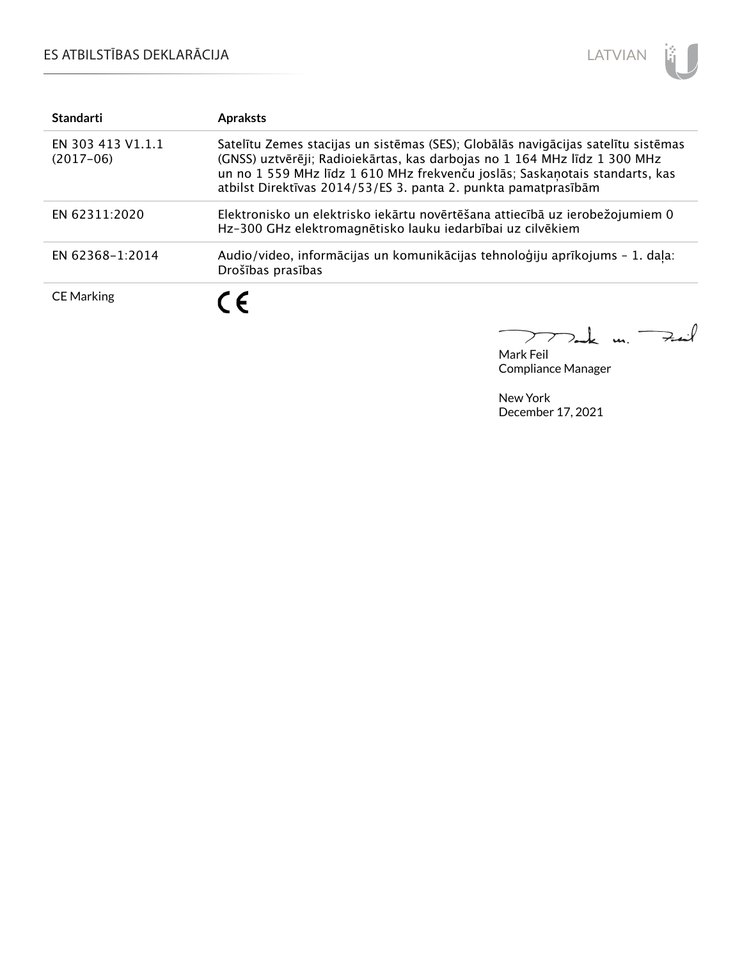## ES ATBILSTĪBAS DEKLARĀCIJA



| <b>Standarti</b>                 | <b>Apraksts</b>                                                                                                                                                                                                                                                                                                 |
|----------------------------------|-----------------------------------------------------------------------------------------------------------------------------------------------------------------------------------------------------------------------------------------------------------------------------------------------------------------|
| EN 303 413 V1.1.1<br>$(2017-06)$ | Satelītu Zemes stacijas un sistēmas (SES); Globālās navigācijas satelītu sistēmas<br>(GNSS) uztvērēji; Radioiekārtas, kas darbojas no 1 164 MHz līdz 1 300 MHz<br>un no 1 559 MHz līdz 1 610 MHz frekvenču joslās; Saskaņotais standarts, kas<br>atbilst Direktīvas 2014/53/ES 3. panta 2. punkta pamatprasībām |
| EN 62311:2020                    | Elektronisko un elektrisko iekārtu novērtēšana attiecībā uz ierobežojumiem 0<br>Hz-300 GHz elektromagnētisko lauku iedarbībai uz cilvēkiem                                                                                                                                                                      |
| EN 62368-1:2014                  | Audio/video, informācijas un komunikācijas tehnoloģiju aprīkojums - 1. daļa:<br>Drošības prasības                                                                                                                                                                                                               |
| <b>CE Marking</b>                | C E                                                                                                                                                                                                                                                                                                             |

كمنعة  $\frac{1}{2}$  $\geq$ 

Mark Feil Compliance Manager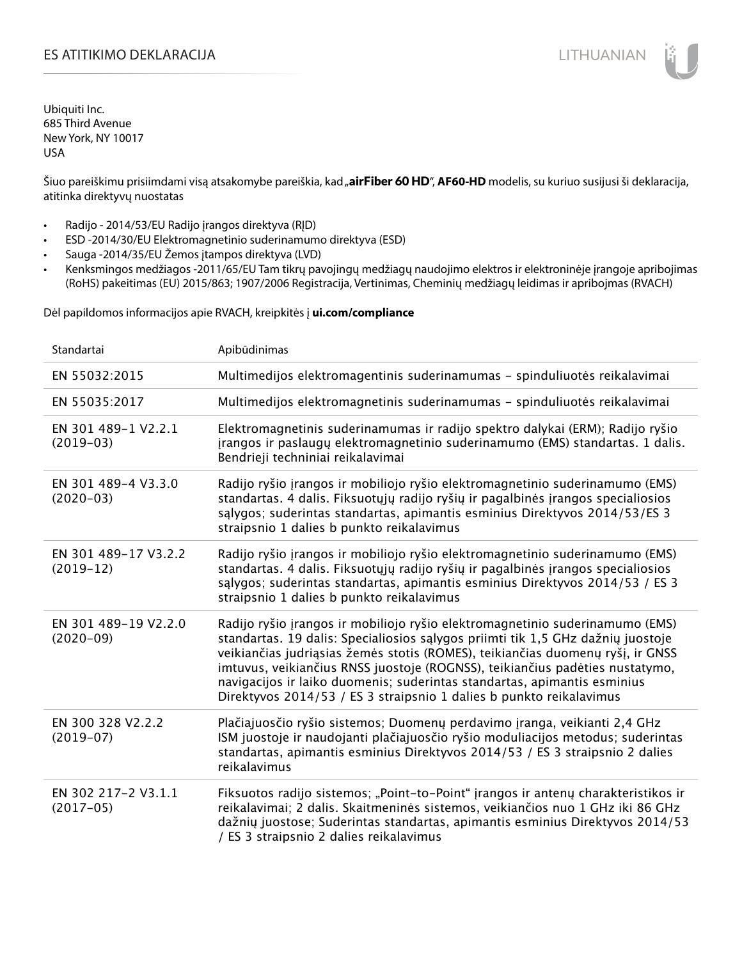### ES ATITIKIMO DEKLARACIJA NA SATITIKIMO DEKLARACIJA NA SATITIKIMO DEKLARACIJA NA SATITIKIMO DE KLARACIJA NA SATI

Ubiquiti Inc. 685 Third Avenue New York, NY 10017 USA

Šiuo pareiškimu prisiimdami visą atsakomybe pareiškia, kad "**airFiber 60 HD", AF60-HD** modelis, su kuriuo susijusi ši deklaracija, atitinka direktyvų nuostatas

- Radijo 2014/53/EU Radijo įrangos direktyva (RĮD)
- ESD -2014/30/EU Elektromagnetinio suderinamumo direktyva (ESD)
- Sauga -2014/35/EU Žemos įtampos direktyva (LVD)
- Kenksmingos medžiagos -2011/65/EU Tam tikrų pavojingų medžiagų naudojimo elektros ir elektroninėje įrangoje apribojimas (RoHS) pakeitimas (EU) 2015/863; 1907/2006 Registracija, Vertinimas, Cheminių medžiagų leidimas ir apribojmas (RVACH)

Dėl papildomos informacijos apie RVACH, kreipkitės į **ui.com/compliance**

| Standartai                          | Apibūdinimas                                                                                                                                                                                                                                                                                                                                                                                                                                                                         |
|-------------------------------------|--------------------------------------------------------------------------------------------------------------------------------------------------------------------------------------------------------------------------------------------------------------------------------------------------------------------------------------------------------------------------------------------------------------------------------------------------------------------------------------|
| EN 55032:2015                       | Multimedijos elektromagentinis suderinamumas - spinduliuotės reikalavimai                                                                                                                                                                                                                                                                                                                                                                                                            |
| EN 55035:2017                       | Multimedijos elektromagnetinis suderinamumas - spinduliuotės reikalavimai                                                                                                                                                                                                                                                                                                                                                                                                            |
| EN 301 489-1 V2.2.1<br>$(2019-03)$  | Elektromagnetinis suderinamumas ir radijo spektro dalykai (ERM); Radijo ryšio<br>jrangos ir paslaugų elektromagnetinio suderinamumo (EMS) standartas. 1 dalis.<br>Bendrieji techniniai reikalavimai                                                                                                                                                                                                                                                                                  |
| EN 301 489-4 V3.3.0<br>$(2020-03)$  | Radijo ryšio įrangos ir mobiliojo ryšio elektromagnetinio suderinamumo (EMS)<br>standartas. 4 dalis. Fiksuotųjų radijo ryšių ir pagalbinės įrangos specialiosios<br>salygos; suderintas standartas, apimantis esminius Direktyvos 2014/53/ES 3<br>straipsnio 1 dalies b punkto reikalavimus                                                                                                                                                                                          |
| EN 301 489-17 V3.2.2<br>$(2019-12)$ | Radijo ryšio įrangos ir mobiliojo ryšio elektromagnetinio suderinamumo (EMS)<br>standartas. 4 dalis. Fiksuotųjų radijo ryšių ir pagalbinės įrangos specialiosios<br>sąlygos; suderintas standartas, apimantis esminius Direktyvos 2014/53 / ES 3<br>straipsnio 1 dalies b punkto reikalavimus                                                                                                                                                                                        |
| EN 301 489-19 V2.2.0<br>$(2020-09)$ | Radijo ryšio įrangos ir mobiliojo ryšio elektromagnetinio suderinamumo (EMS)<br>standartas. 19 dalis: Specialiosios sąlygos priimti tik 1,5 GHz dažnių juostoje<br>veikiančias judriąsias žemės stotis (ROMES), teikiančias duomenų ryšį, ir GNSS<br>imtuvus, veikiančius RNSS juostoje (ROGNSS), teikiančius padėties nustatymo,<br>navigacijos ir laiko duomenis; suderintas standartas, apimantis esminius<br>Direktyvos 2014/53 / ES 3 straipsnio 1 dalies b punkto reikalavimus |
| EN 300 328 V2.2.2<br>$(2019-07)$    | Plačiajuosčio ryšio sistemos; Duomenų perdavimo įranga, veikianti 2,4 GHz<br>ISM juostoje ir naudojanti plačiajuosčio ryšio moduliacijos metodus; suderintas<br>standartas, apimantis esminius Direktyvos 2014/53 / ES 3 straipsnio 2 dalies<br>reikalavimus                                                                                                                                                                                                                         |
| EN 302 217-2 V3.1.1<br>$(2017-05)$  | Fiksuotos radijo sistemos; "Point-to-Point" jrangos ir antenų charakteristikos ir<br>reikalavimai; 2 dalis. Skaitmeninės sistemos, veikiančios nuo 1 GHz iki 86 GHz<br>dažnių juostose; Suderintas standartas, apimantis esminius Direktyvos 2014/53<br>/ ES 3 straipsnio 2 dalies reikalavimus                                                                                                                                                                                      |